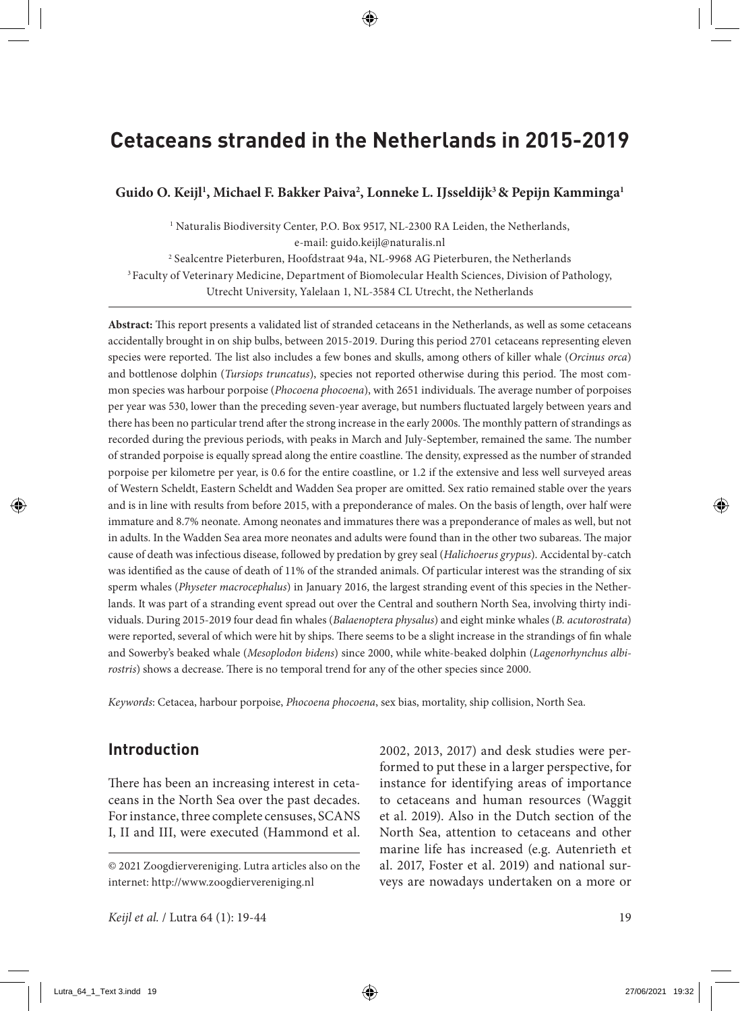# **Cetaceans stranded in the Netherlands in 2015-2019**

### Guido O. Keijl<sup>1</sup>, Michael F. Bakker Paiva<sup>2</sup>, Lonneke L. IJsseldijk<sup>3</sup> & Pepijn Kamminga<sup>1</sup>

<sup>1</sup> Naturalis Biodiversity Center, P.O. Box 9517, NL-2300 RA Leiden, the Netherlands, e-mail: guido.keijl@naturalis.nl

2 Sealcentre Pieterburen, Hoofdstraat 94a, NL-9968 AG Pieterburen, the Netherlands <sup>3</sup> Faculty of Veterinary Medicine, Department of Biomolecular Health Sciences, Division of Pathology, Utrecht University, Yalelaan 1, NL-3584 CL Utrecht, the Netherlands

**Abstract:** This report presents a validated list of stranded cetaceans in the Netherlands, as well as some cetaceans accidentally brought in on ship bulbs, between 2015-2019. During this period 2701 cetaceans representing eleven species were reported. The list also includes a few bones and skulls, among others of killer whale (*Orcinus orca*) and bottlenose dolphin (*Tursiops truncatus*), species not reported otherwise during this period. The most common species was harbour porpoise (*Phocoena phocoena*), with 2651 individuals. The average number of porpoises per year was 530, lower than the preceding seven-year average, but numbers fluctuated largely between years and there has been no particular trend after the strong increase in the early 2000s. The monthly pattern of strandings as recorded during the previous periods, with peaks in March and July-September, remained the same. The number of stranded porpoise is equally spread along the entire coastline. The density, expressed as the number of stranded porpoise per kilometre per year, is 0.6 for the entire coastline, or 1.2 if the extensive and less well surveyed areas of Western Scheldt, Eastern Scheldt and Wadden Sea proper are omitted. Sex ratio remained stable over the years and is in line with results from before 2015, with a preponderance of males. On the basis of length, over half were immature and 8.7% neonate. Among neonates and immatures there was a preponderance of males as well, but not in adults. In the Wadden Sea area more neonates and adults were found than in the other two subareas. The major cause of death was infectious disease, followed by predation by grey seal (*Halichoerus grypus*). Accidental by-catch was identified as the cause of death of 11% of the stranded animals. Of particular interest was the stranding of six sperm whales (*Physeter macrocephalus*) in January 2016, the largest stranding event of this species in the Netherlands. It was part of a stranding event spread out over the Central and southern North Sea, involving thirty individuals. During 2015-2019 four dead fin whales (*Balaenoptera physalus*) and eight minke whales (*B. acutorostrata*) were reported, several of which were hit by ships. There seems to be a slight increase in the strandings of fin whale and Sowerby's beaked whale (*Mesoplodon bidens*) since 2000, while white-beaked dolphin (*Lagenorhynchus albirostris*) shows a decrease. There is no temporal trend for any of the other species since 2000.

*Keywords*: Cetacea, harbour porpoise, *Phocoena phocoena*, sex bias, mortality, ship collision, North Sea.

# **Introduction**

There has been an increasing interest in cetaceans in the North Sea over the past decades. For instance, three complete censuses, SCANS I, II and III, were executed (Hammond et al. 2002, 2013, 2017) and desk studies were performed to put these in a larger perspective, for instance for identifying areas of importance to cetaceans and human resources (Waggit et al. 2019). Also in the Dutch section of the North Sea, attention to cetaceans and other marine life has increased (e.g. Autenrieth et al. 2017, Foster et al. 2019) and national surveys are nowadays undertaken on a more or

<sup>© 2021</sup> Zoogdiervereniging. Lutra articles also on the internet: http://www.zoogdiervereniging.nl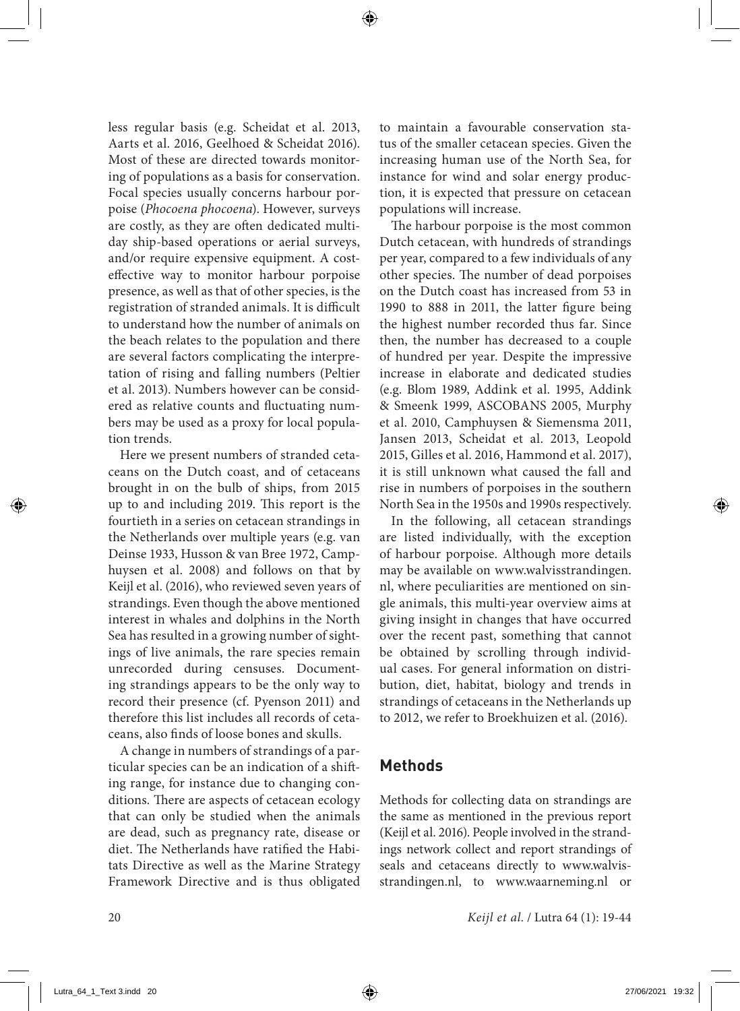less regular basis (e.g. Scheidat et al. 2013, Aarts et al. 2016, Geelhoed & Scheidat 2016). Most of these are directed towards monitoring of populations as a basis for conservation. Focal species usually concerns harbour porpoise (*Phocoena phocoena*). However, surveys are costly, as they are often dedicated multiday ship-based operations or aerial surveys, and/or require expensive equipment. A costeffective way to monitor harbour porpoise presence, as well as that of other species, is the registration of stranded animals. It is difficult to understand how the number of animals on the beach relates to the population and there are several factors complicating the interpretation of rising and falling numbers (Peltier et al. 2013). Numbers however can be considered as relative counts and fluctuating numbers may be used as a proxy for local population trends.

Here we present numbers of stranded cetaceans on the Dutch coast, and of cetaceans brought in on the bulb of ships, from 2015 up to and including 2019. This report is the fourtieth in a series on cetacean strandings in the Netherlands over multiple years (e.g. van Deinse 1933, Husson & van Bree 1972, Camphuysen et al. 2008) and follows on that by Keijl et al. (2016), who reviewed seven years of strandings. Even though the above mentioned interest in whales and dolphins in the North Sea has resulted in a growing number of sightings of live animals, the rare species remain unrecorded during censuses. Documenting strandings appears to be the only way to record their presence (cf. Pyenson 2011) and therefore this list includes all records of cetaceans, also finds of loose bones and skulls.

A change in numbers of strandings of a particular species can be an indication of a shifting range, for instance due to changing conditions*.* There are aspects of cetacean ecology that can only be studied when the animals are dead, such as pregnancy rate, disease or diet. The Netherlands have ratified the Habitats Directive as well as the Marine Strategy Framework Directive and is thus obligated to maintain a favourable conservation status of the smaller cetacean species. Given the increasing human use of the North Sea, for instance for wind and solar energy production, it is expected that pressure on cetacean populations will increase.

The harbour porpoise is the most common Dutch cetacean, with hundreds of strandings per year, compared to a few individuals of any other species. The number of dead porpoises on the Dutch coast has increased from 53 in 1990 to 888 in 2011, the latter figure being the highest number recorded thus far. Since then, the number has decreased to a couple of hundred per year. Despite the impressive increase in elaborate and dedicated studies (e.g. Blom 1989, Addink et al. 1995, Addink & Smeenk 1999, ASCOBANS 2005, Murphy et al. 2010, Camphuysen & Siemensma 2011, Jansen 2013, Scheidat et al. 2013, Leopold 2015, Gilles et al. 2016, Hammond et al. 2017), it is still unknown what caused the fall and rise in numbers of porpoises in the southern North Sea in the 1950s and 1990s respectively.

In the following, all cetacean strandings are listed individually, with the exception of harbour porpoise. Although more details may be available on www.walvisstrandingen. nl, where peculiarities are mentioned on single animals, this multi-year overview aims at giving insight in changes that have occurred over the recent past, something that cannot be obtained by scrolling through individual cases. For general information on distribution, diet, habitat, biology and trends in strandings of cetaceans in the Netherlands up to 2012, we refer to Broekhuizen et al. (2016).

# **Methods**

Methods for collecting data on strandings are the same as mentioned in the previous report (Keijl et al. 2016). People involved in the strandings network collect and report strandings of seals and cetaceans directly to www.walvisstrandingen.nl, to www.waarneming.nl or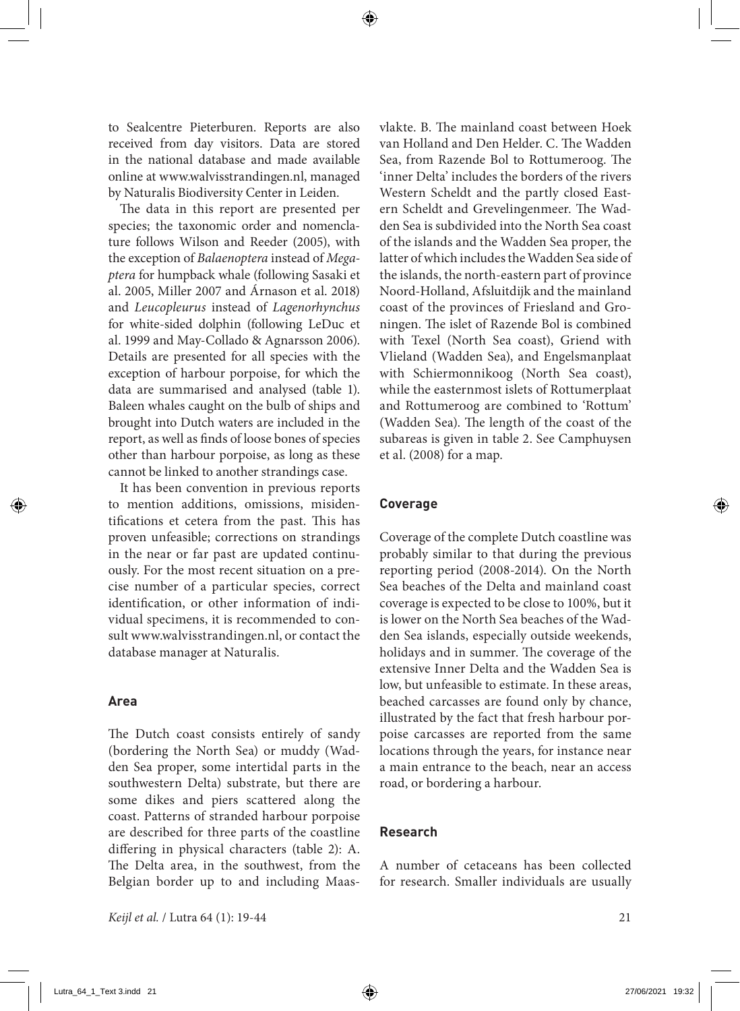to Sealcentre Pieterburen. Reports are also received from day visitors. Data are stored in the national database and made available online at www.walvisstrandingen.nl, managed by Naturalis Biodiversity Center in Leiden.

The data in this report are presented per species; the taxonomic order and nomenclature follows Wilson and Reeder (2005), with the exception of *Balaenoptera* instead of *Megaptera* for humpback whale (following Sasaki et al. 2005, Miller 2007 and Árnason et al. 2018) and *Leucopleurus* instead of *Lagenorhynchus* for white-sided dolphin (following LeDuc et al. 1999 and May-Collado & Agnarsson 2006). Details are presented for all species with the exception of harbour porpoise, for which the data are summarised and analysed (table 1). Baleen whales caught on the bulb of ships and brought into Dutch waters are included in the report, as well as finds of loose bones of species other than harbour porpoise, as long as these cannot be linked to another strandings case.

It has been convention in previous reports to mention additions, omissions, misidentifications et cetera from the past. This has proven unfeasible; corrections on strandings in the near or far past are updated continuously. For the most recent situation on a precise number of a particular species, correct identification, or other information of individual specimens, it is recommended to consult www.walvisstrandingen.nl, or contact the database manager at Naturalis.

#### **Area**

The Dutch coast consists entirely of sandy (bordering the North Sea) or muddy (Wadden Sea proper, some intertidal parts in the southwestern Delta) substrate, but there are some dikes and piers scattered along the coast. Patterns of stranded harbour porpoise are described for three parts of the coastline differing in physical characters (table 2): A. The Delta area, in the southwest, from the Belgian border up to and including Maasvlakte. B. The mainland coast between Hoek van Holland and Den Helder. C. The Wadden Sea, from Razende Bol to Rottumeroog. The 'inner Delta' includes the borders of the rivers Western Scheldt and the partly closed Eastern Scheldt and Grevelingenmeer. The Wadden Sea is subdivided into the North Sea coast of the islands and the Wadden Sea proper, the latter of which includes the Wadden Sea side of the islands, the north-eastern part of province Noord-Holland, Afsluitdijk and the mainland coast of the provinces of Friesland and Groningen. The islet of Razende Bol is combined with Texel (North Sea coast), Griend with Vlieland (Wadden Sea), and Engelsmanplaat with Schiermonnikoog (North Sea coast), while the easternmost islets of Rottumerplaat and Rottumeroog are combined to 'Rottum' (Wadden Sea). The length of the coast of the subareas is given in table 2. See Camphuysen et al. (2008) for a map.

#### **Coverage**

Coverage of the complete Dutch coastline was probably similar to that during the previous reporting period (2008-2014). On the North Sea beaches of the Delta and mainland coast coverage is expected to be close to 100%, but it is lower on the North Sea beaches of the Wadden Sea islands, especially outside weekends, holidays and in summer. The coverage of the extensive Inner Delta and the Wadden Sea is low, but unfeasible to estimate. In these areas, beached carcasses are found only by chance, illustrated by the fact that fresh harbour porpoise carcasses are reported from the same locations through the years, for instance near a main entrance to the beach, near an access road, or bordering a harbour.

#### **Research**

A number of cetaceans has been collected for research. Smaller individuals are usually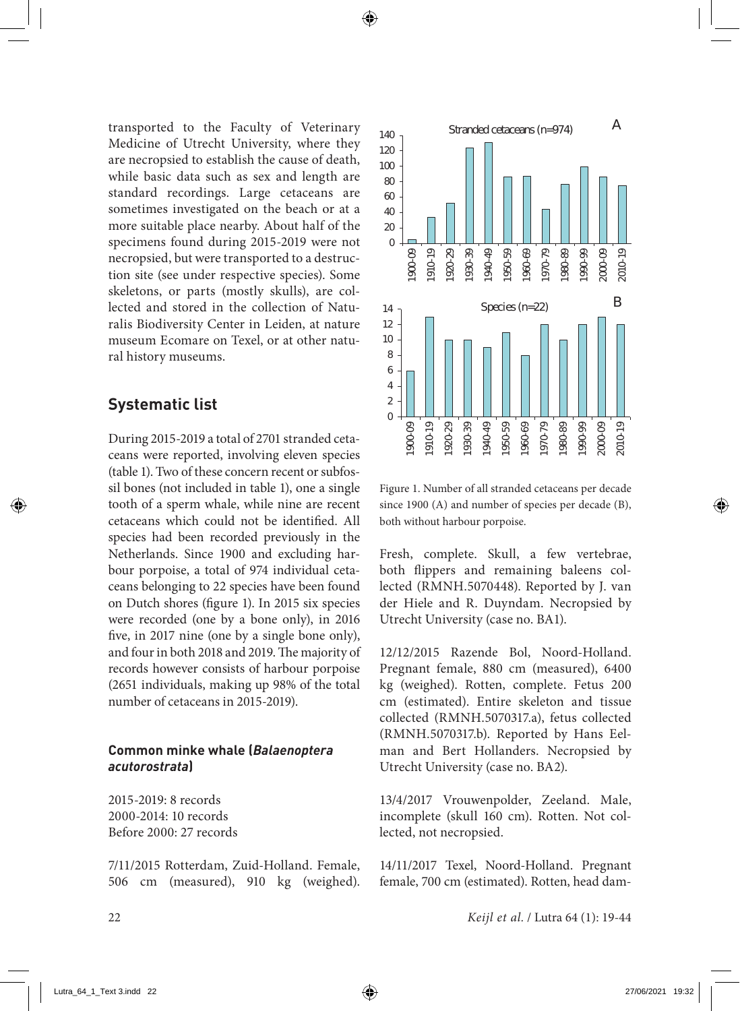transported to the Faculty of Veterinary Medicine of Utrecht University, where they are necropsied to establish the cause of death, while basic data such as sex and length are standard recordings. Large cetaceans are sometimes investigated on the beach or at a more suitable place nearby. About half of the specimens found during 2015-2019 were not necropsied, but were transported to a destruction site (see under respective species). Some skeletons, or parts (mostly skulls), are collected and stored in the collection of Naturalis Biodiversity Center in Leiden, at nature museum Ecomare on Texel, or at other natural history museums.

# **Systematic list**

During 2015-2019 a total of 2701 stranded cetaceans were reported, involving eleven species (table 1). Two of these concern recent or subfossil bones (not included in table 1), one a single tooth of a sperm whale, while nine are recent cetaceans which could not be identified. All species had been recorded previously in the Netherlands. Since 1900 and excluding harbour porpoise, a total of 974 individual cetaceans belonging to 22 species have been found on Dutch shores (figure 1). In 2015 six species were recorded (one by a bone only), in 2016 five, in 2017 nine (one by a single bone only), and four in both 2018 and 2019. The majority of records however consists of harbour porpoise (2651 individuals, making up 98% of the total number of cetaceans in 2015-2019).

## **Common minke whale (***Balaenoptera acutorostrata***)**

2015-2019: 8 records 2000-2014: 10 records Before 2000: 27 records

7/11/2015 Rotterdam, Zuid-Holland. Female, 506 cm (measured), 910 kg (weighed).



Figure 1. Number of all stranded cetaceans per decade since 1900 (A) and number of species per decade (B), both without harbour porpoise.

Fresh, complete. Skull, a few vertebrae, both flippers and remaining baleens collected (RMNH.5070448). Reported by J. van der Hiele and R. Duyndam. Necropsied by Utrecht University (case no. BA1).

12/12/2015 Razende Bol, Noord-Holland. Pregnant female, 880 cm (measured), 6400 kg (weighed). Rotten, complete. Fetus 200 cm (estimated). Entire skeleton and tissue collected (RMNH.5070317.a), fetus collected (RMNH.5070317.b). Reported by Hans Eelman and Bert Hollanders. Necropsied by Utrecht University (case no. BA2).

13/4/2017 Vrouwenpolder, Zeeland. Male, incomplete (skull 160 cm). Rotten. Not collected, not necropsied.

14/11/2017 Texel, Noord-Holland. Pregnant female, 700 cm (estimated). Rotten, head dam-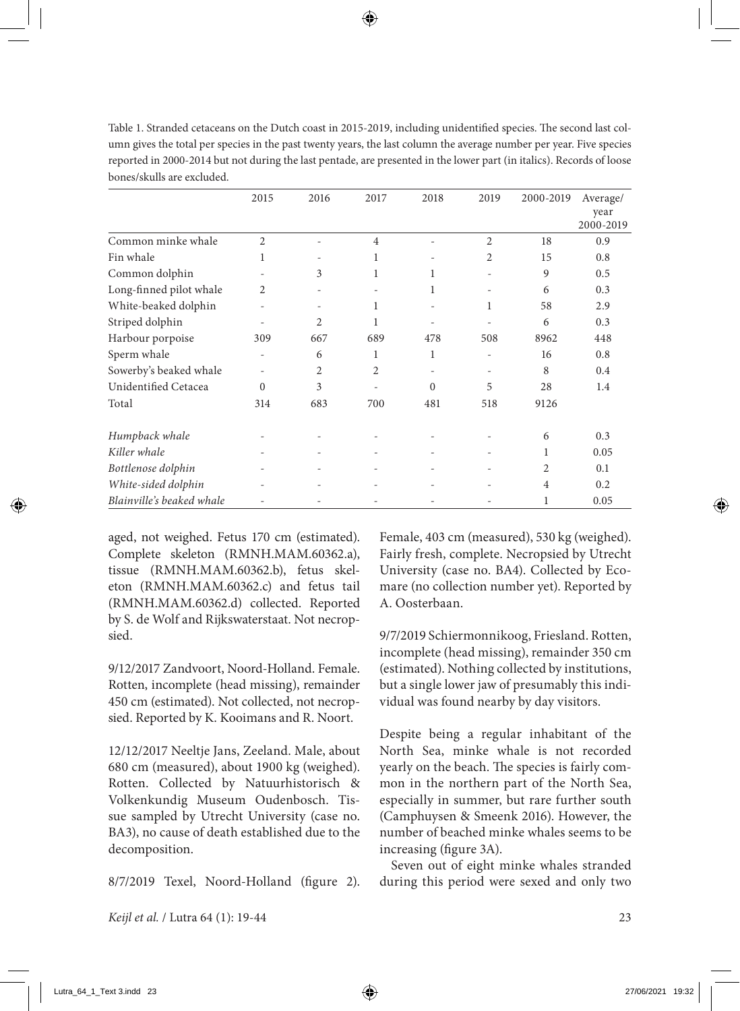| Table 1. Stranded cetaceans on the Dutch coast in 2015-2019, including unidentified species. The second last col-     |
|-----------------------------------------------------------------------------------------------------------------------|
| umn gives the total per species in the past twenty years, the last column the average number per year. Five species   |
| reported in 2000-2014 but not during the last pentade, are presented in the lower part (in italics). Records of loose |
| bones/skulls are excluded.                                                                                            |

|                           | 2015                     | 2016           | 2017                     | 2018     | 2019                         | 2000-2019      | Average/  |
|---------------------------|--------------------------|----------------|--------------------------|----------|------------------------------|----------------|-----------|
|                           |                          |                |                          |          |                              |                | year      |
|                           |                          |                |                          |          |                              |                | 2000-2019 |
| Common minke whale        | $\overline{c}$           | ٠              | $\overline{4}$           | ۰        | $\overline{2}$               | 18             | 0.9       |
| Fin whale                 | 1                        |                | 1                        |          | 2                            | 15             | 0.8       |
| Common dolphin            |                          | 3              | 1                        | 1        |                              | 9              | 0.5       |
| Long-finned pilot whale   | 2                        |                |                          | 1        |                              | 6              | 0.3       |
| White-beaked dolphin      | ٠                        |                | 1                        |          | 1                            | 58             | 2.9       |
| Striped dolphin           |                          | $\overline{c}$ | 1                        | ۰        | ٠                            | 6              | 0.3       |
| Harbour porpoise          | 309                      | 667            | 689                      | 478      | 508                          | 8962           | 448       |
| Sperm whale               | $\overline{\phantom{m}}$ | 6              | 1                        | 1        | $\qquad \qquad \blacksquare$ | 16             | 0.8       |
| Sowerby's beaked whale    |                          | $\overline{c}$ | $\overline{2}$           | ۰        | $\overline{\phantom{a}}$     | 8              | 0.4       |
| Unidentified Cetacea      | $\theta$                 | 3              |                          | $\Omega$ | 5                            | 28             | 1.4       |
| Total                     | 314                      | 683            | 700                      | 481      | 518                          | 9126           |           |
| Humpback whale            |                          |                |                          |          |                              | 6              | 0.3       |
| Killer whale              |                          |                | $\overline{\phantom{a}}$ | ۰        | ٠                            | 1              | 0.05      |
| Bottlenose dolphin        |                          | ٠              | ٠                        | ۰        | ٠                            | $\overline{c}$ | 0.1       |
| White-sided dolphin       |                          |                |                          |          |                              | 4              | 0.2       |
| Blainville's beaked whale |                          |                |                          |          |                              | 1              | 0.05      |

aged, not weighed. Fetus 170 cm (estimated). Complete skeleton (RMNH.MAM.60362.a), tissue (RMNH.MAM.60362.b), fetus skeleton (RMNH.MAM.60362.c) and fetus tail (RMNH.MAM.60362.d) collected. Reported by S. de Wolf and Rijkswaterstaat. Not necropsied.

9/12/2017 Zandvoort, Noord-Holland. Female. Rotten, incomplete (head missing), remainder 450 cm (estimated). Not collected, not necropsied. Reported by K. Kooimans and R. Noort.

12/12/2017 Neeltje Jans, Zeeland. Male, about 680 cm (measured), about 1900 kg (weighed). Rotten. Collected by Natuurhistorisch & Volkenkundig Museum Oudenbosch. Tissue sampled by Utrecht University (case no. BA3), no cause of death established due to the decomposition.

8/7/2019 Texel, Noord-Holland (figure 2).

Female, 403 cm (measured), 530 kg (weighed). Fairly fresh, complete. Necropsied by Utrecht University (case no. BA4). Collected by Ecomare (no collection number yet). Reported by A. Oosterbaan.

9/7/2019 Schiermonnikoog, Friesland. Rotten, incomplete (head missing), remainder 350 cm (estimated). Nothing collected by institutions, but a single lower jaw of presumably this individual was found nearby by day visitors.

Despite being a regular inhabitant of the North Sea, minke whale is not recorded yearly on the beach. The species is fairly common in the northern part of the North Sea, especially in summer, but rare further south (Camphuysen & Smeenk 2016). However, the number of beached minke whales seems to be increasing (figure 3A).

Seven out of eight minke whales stranded during this period were sexed and only two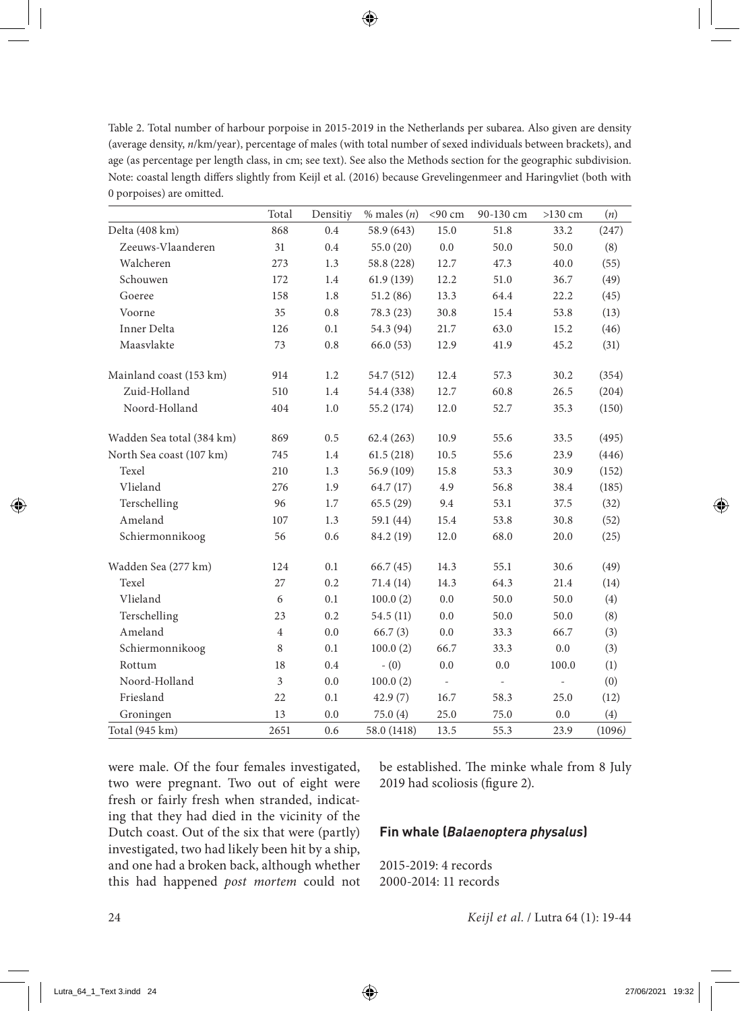Table 2. Total number of harbour porpoise in 2015-2019 in the Netherlands per subarea. Also given are density (average density, *n*/km/year), percentage of males (with total number of sexed individuals between brackets), and age (as percentage per length class, in cm; see text). See also the Methods section for the geographic subdivision. Note: coastal length differs slightly from Keijl et al. (2016) because Grevelingenmeer and Haringvliet (both with 0 porpoises) are omitted.

|                           | Total          | Densitiy | $%$ males $(n)$ | <90 cm                   | 90-130 cm                | $>130$ cm                | (n)    |
|---------------------------|----------------|----------|-----------------|--------------------------|--------------------------|--------------------------|--------|
| Delta (408 km)            | 868            | 0.4      | 58.9 (643)      | 15.0                     | 51.8                     | 33.2                     | (247)  |
| Zeeuws-Vlaanderen         | 31             | 0.4      | 55.0(20)        | 0.0                      | 50.0                     | 50.0                     | (8)    |
| Walcheren                 | 273            | 1.3      | 58.8 (228)      | 12.7                     | 47.3                     | 40.0                     | (55)   |
| Schouwen                  | 172            | 1.4      | 61.9(139)       | 12.2                     | 51.0                     | 36.7                     | (49)   |
| Goeree                    | 158            | 1.8      | 51.2(86)        | 13.3                     | 64.4                     | 22.2                     | (45)   |
| Voorne                    | 35             | 0.8      | 78.3 (23)       | 30.8                     | 15.4                     | 53.8                     | (13)   |
| Inner Delta               | 126            | 0.1      | 54.3 (94)       | 21.7                     | 63.0                     | 15.2                     | (46)   |
| Maasylakte                | 73             | 0.8      | 66.0(53)        | 12.9                     | 41.9                     | 45.2                     | (31)   |
| Mainland coast (153 km)   | 914            | 1.2      | 54.7 (512)      | 12.4                     | 57.3                     | 30.2                     | (354)  |
| Zuid-Holland              | 510            | 1.4      | 54.4 (338)      | 12.7                     | 60.8                     | 26.5                     | (204)  |
| Noord-Holland             | 404            | 1.0      | 55.2 (174)      | 12.0                     | 52.7                     | 35.3                     | (150)  |
| Wadden Sea total (384 km) | 869            | 0.5      | 62.4(263)       | 10.9                     | 55.6                     | 33.5                     | (495)  |
| North Sea coast (107 km)  | 745            | 1.4      | 61.5(218)       | 10.5                     | 55.6                     | 23.9                     | (446)  |
| Texel                     | 210            | 1.3      | 56.9 (109)      | 15.8                     | 53.3                     | 30.9                     | (152)  |
| Vlieland                  | 276            | 1.9      | 64.7(17)        | 4.9                      | 56.8                     | 38.4                     | (185)  |
| Terschelling              | 96             | 1.7      | 65.5(29)        | 9.4                      | 53.1                     | 37.5                     | (32)   |
| Ameland                   | 107            | 1.3      | 59.1 (44)       | 15.4                     | 53.8                     | 30.8                     | (52)   |
| Schiermonnikoog           | 56             | 0.6      | 84.2 (19)       | 12.0                     | 68.0                     | 20.0                     | (25)   |
| Wadden Sea (277 km)       | 124            | 0.1      | 66.7(45)        | 14.3                     | 55.1                     | 30.6                     | (49)   |
| Texel                     | 27             | 0.2      | 71.4 (14)       | 14.3                     | 64.3                     | 21.4                     | (14)   |
| Vlieland                  | 6              | 0.1      | 100.0(2)        | 0.0                      | 50.0                     | 50.0                     | (4)    |
| Terschelling              | 23             | 0.2      | 54.5(11)        | 0.0                      | 50.0                     | 50.0                     | (8)    |
| Ameland                   | $\overline{4}$ | 0.0      | 66.7(3)         | 0.0                      | 33.3                     | 66.7                     | (3)    |
| Schiermonnikoog           | 8              | 0.1      | 100.0(2)        | 66.7                     | 33.3                     | 0.0                      | (3)    |
| Rottum                    | 18             | 0.4      | $- (0)$         | 0.0                      | 0.0                      | 100.0                    | (1)    |
| Noord-Holland             | $\overline{3}$ | 0.0      | 100.0(2)        | $\overline{\phantom{a}}$ | $\overline{\phantom{a}}$ | $\overline{\phantom{a}}$ | (0)    |
| Friesland                 | 22             | 0.1      | 42.9(7)         | 16.7                     | 58.3                     | 25.0                     | (12)   |
| Groningen                 | 13             | 0.0      | 75.0(4)         | 25.0                     | 75.0                     | 0.0                      | (4)    |
| Total (945 km)            | 2651           | 0.6      | 58.0 (1418)     | 13.5                     | 55.3                     | 23.9                     | (1096) |

were male. Of the four females investigated, two were pregnant. Two out of eight were fresh or fairly fresh when stranded, indicating that they had died in the vicinity of the Dutch coast. Out of the six that were (partly) investigated, two had likely been hit by a ship, and one had a broken back, although whether this had happened *post mortem* could not be established. The minke whale from 8 July 2019 had scoliosis (figure 2).

#### **Fin whale (***Balaenoptera physalus***)**

2015-2019: 4 records 2000-2014: 11 records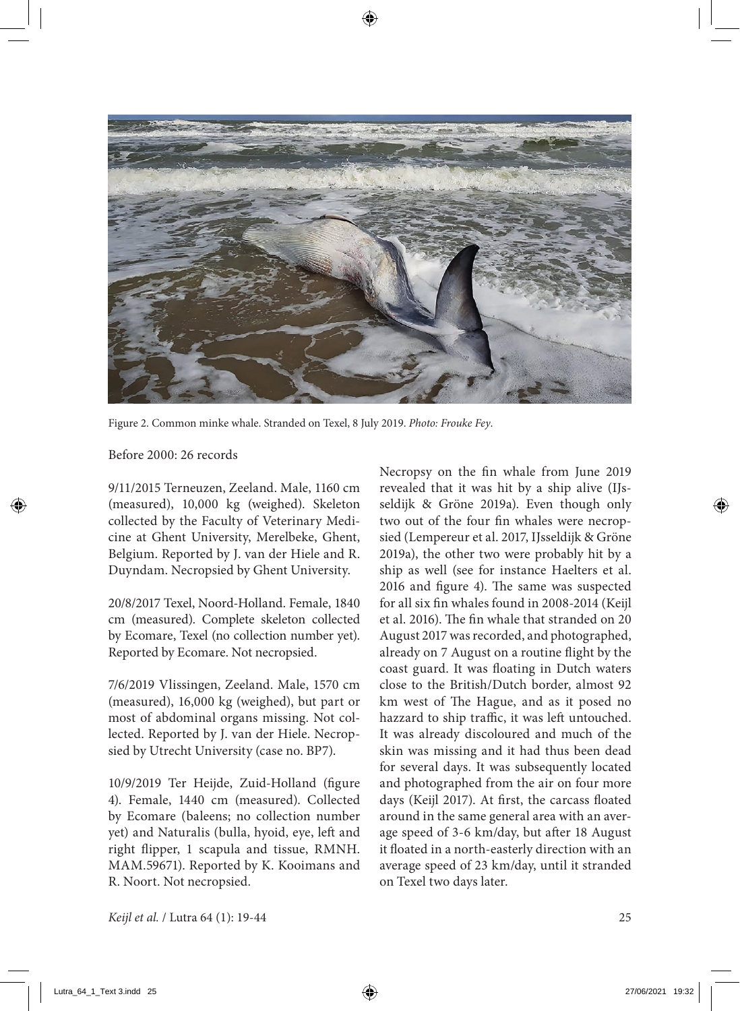

Figure 2. Common minke whale. Stranded on Texel, 8 July 2019. *Photo: Frouke Fey*.

Before 2000: 26 records

9/11/2015 Terneuzen, Zeeland. Male, 1160 cm (measured), 10,000 kg (weighed). Skeleton collected by the Faculty of Veterinary Medicine at Ghent University, Merelbeke, Ghent, Belgium. Reported by J. van der Hiele and R. Duyndam. Necropsied by Ghent University.

20/8/2017 Texel, Noord-Holland. Female, 1840 cm (measured). Complete skeleton collected by Ecomare, Texel (no collection number yet). Reported by Ecomare. Not necropsied.

7/6/2019 Vlissingen, Zeeland. Male, 1570 cm (measured), 16,000 kg (weighed), but part or most of abdominal organs missing. Not collected. Reported by J. van der Hiele. Necropsied by Utrecht University (case no. BP7).

10/9/2019 Ter Heijde, Zuid-Holland (figure 4). Female, 1440 cm (measured). Collected by Ecomare (baleens; no collection number yet) and Naturalis (bulla, hyoid, eye, left and right flipper, 1 scapula and tissue, RMNH. MAM.59671). Reported by K. Kooimans and R. Noort. Not necropsied.

Necropsy on the fin whale from June 2019 revealed that it was hit by a ship alive (IJsseldijk & Gröne 2019a). Even though only two out of the four fin whales were necropsied (Lempereur et al. 2017, IJsseldijk & Gröne 2019a), the other two were probably hit by a ship as well (see for instance Haelters et al. 2016 and figure 4). The same was suspected for all six fin whales found in 2008-2014 (Keijl et al. 2016). The fin whale that stranded on 20 August 2017 was recorded, and photographed, already on 7 August on a routine flight by the coast guard. It was floating in Dutch waters close to the British/Dutch border, almost 92 km west of The Hague, and as it posed no hazzard to ship traffic, it was left untouched. It was already discoloured and much of the skin was missing and it had thus been dead for several days. It was subsequently located and photographed from the air on four more days (Keijl 2017). At first, the carcass floated around in the same general area with an average speed of 3-6 km/day, but after 18 August it floated in a north-easterly direction with an average speed of 23 km/day, until it stranded on Texel two days later.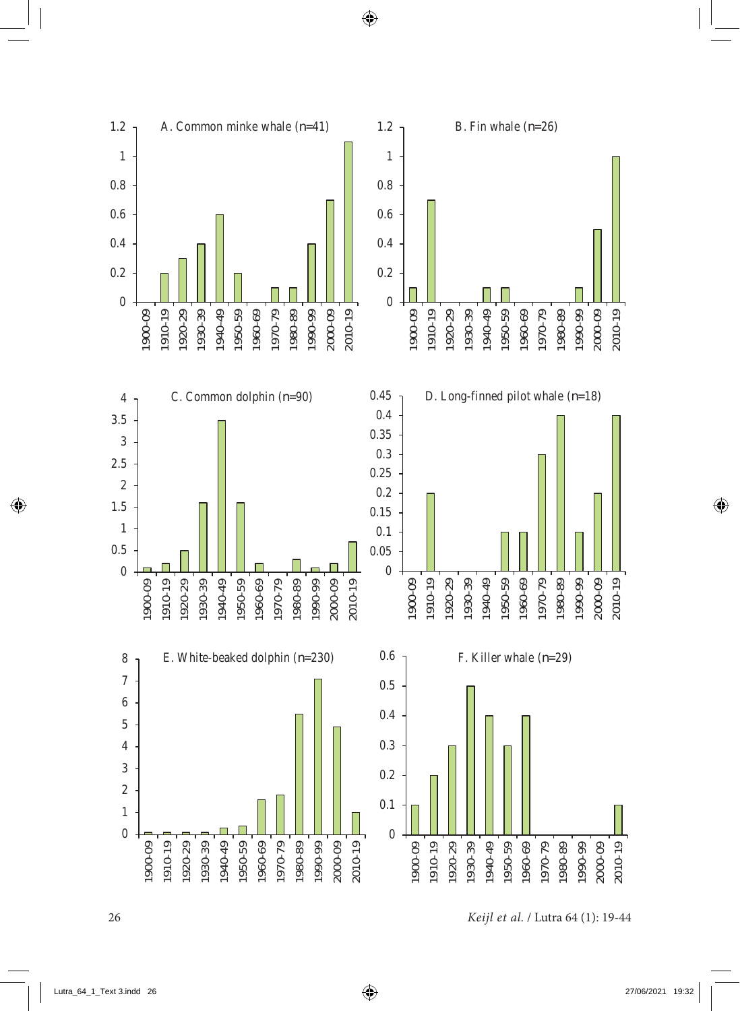

26 *Keijl et al.* / Lutra 64 (1): 19-44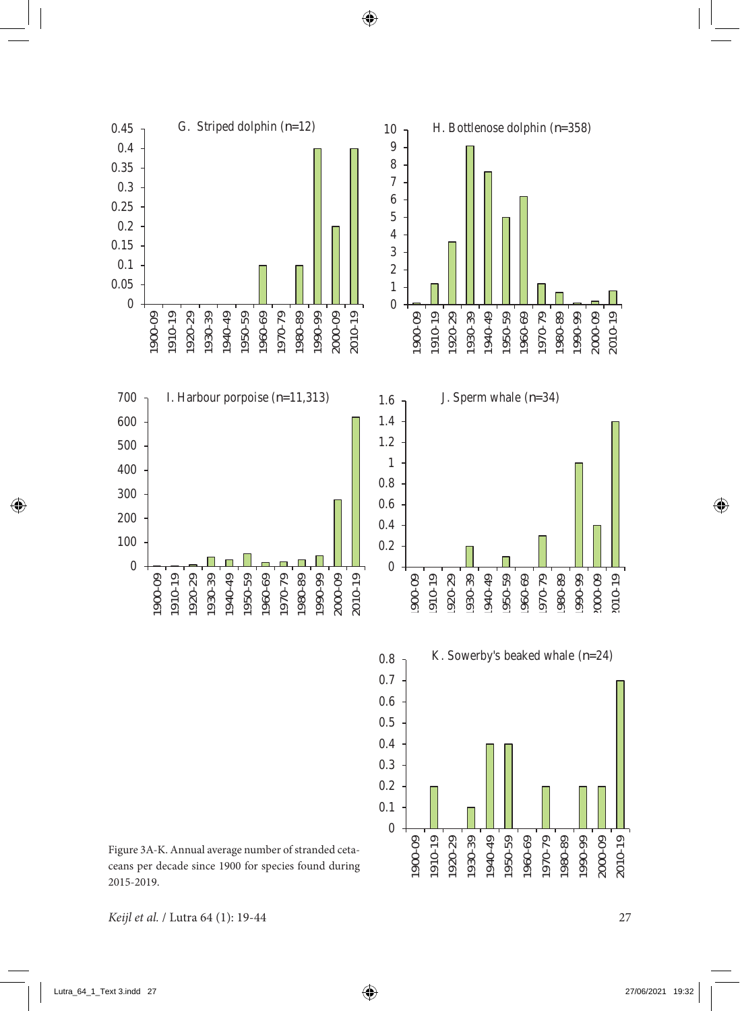

*Keijl et al.* / Lutra 64 (1): 19-44 27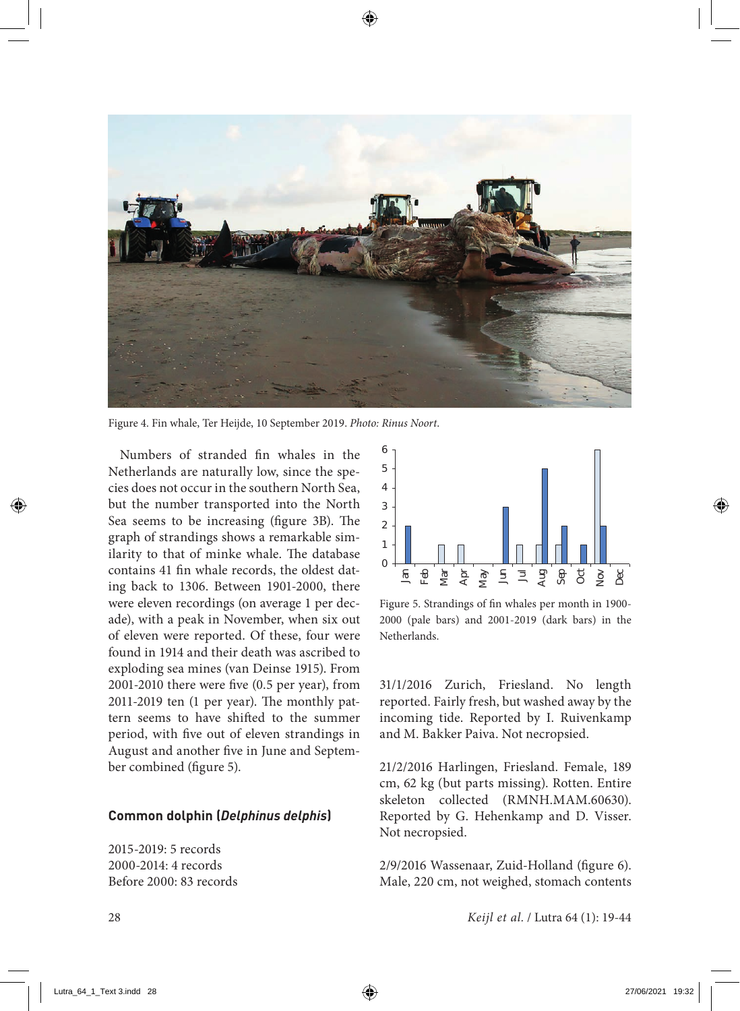

Figure 4. Fin whale, Ter Heijde, 10 September 2019. *Photo: Rinus Noort*.

Numbers of stranded fin whales in the Netherlands are naturally low, since the species does not occur in the southern North Sea, but the number transported into the North Sea seems to be increasing (figure 3B). The graph of strandings shows a remarkable similarity to that of minke whale. The database contains 41 fin whale records, the oldest dating back to 1306. Between 1901-2000, there were eleven recordings (on average 1 per decade), with a peak in November, when six out of eleven were reported. Of these, four were found in 1914 and their death was ascribed to exploding sea mines (van Deinse 1915). From 2001-2010 there were five (0.5 per year), from 2011-2019 ten (1 per year). The monthly pattern seems to have shifted to the summer period, with five out of eleven strandings in August and another five in June and September combined (figure 5).

#### **Common dolphin (***Delphinus delphis***)**

2015-2019: 5 records 2000-2014: 4 records Before 2000: 83 records



Figure 5. Strandings of fin whales per month in 1900- 2000 (pale bars) and 2001-2019 (dark bars) in the Netherlands.

31/1/2016 Zurich, Friesland. No length reported. Fairly fresh, but washed away by the incoming tide. Reported by I. Ruivenkamp and M. Bakker Paiva. Not necropsied.

21/2/2016 Harlingen, Friesland. Female, 189 cm, 62 kg (but parts missing). Rotten. Entire skeleton collected (RMNH.MAM.60630). Reported by G. Hehenkamp and D. Visser. Not necropsied.

2/9/2016 Wassenaar, Zuid-Holland (figure 6). Male, 220 cm, not weighed, stomach contents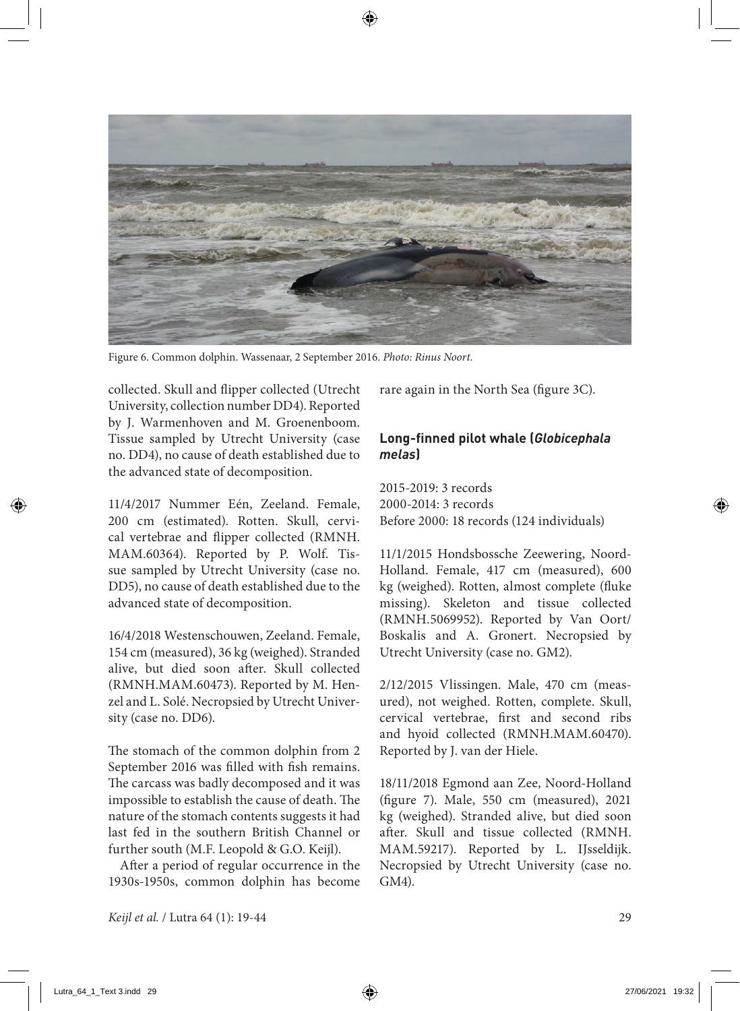

Figure 6. Common dolphin. Wassenaar, 2 September 2016. *Photo: Rinus Noort*.

collected. Skull and flipper collected (Utrecht University, collection number DD4). Reported by J. Warmenhoven and M. Groenenboom. Tissue sampled by Utrecht University (case no. DD4), no cause of death established due to the advanced state of decomposition.

11/4/2017 Nummer Eén, Zeeland. Female, 200 cm (estimated). Rotten. Skull, cervical vertebrae and flipper collected (RMNH. MAM.60364). Reported by P. Wolf. Tissue sampled by Utrecht University (case no. DD5), no cause of death established due to the advanced state of decomposition.

16/4/2018 Westenschouwen, Zeeland. Female, 154 cm (measured), 36 kg (weighed). Stranded alive, but died soon after. Skull collected (RMNH.MAM.60473). Reported by M. Henzel and L. Solé. Necropsied by Utrecht University (case no. DD6).

The stomach of the common dolphin from 2 September 2016 was filled with fish remains. The carcass was badly decomposed and it was impossible to establish the cause of death. The nature of the stomach contents suggests it had last fed in the southern British Channel or further south (M.F. Leopold & G.O. Keijl).

After a period of regular occurrence in the 1930s-1950s, common dolphin has become rare again in the North Sea (figure 3C).

# **Long-finned pilot whale (***Globicephala melas***)**

2015-2019: 3 records 2000-2014: 3 records Before 2000: 18 records (124 individuals)

11/1/2015 Hondsbossche Zeewering, Noord-Holland. Female, 417 cm (measured), 600 kg (weighed). Rotten, almost complete (fluke missing). Skeleton and tissue collected (RMNH.5069952). Reported by Van Oort/ Boskalis and A. Gronert. Necropsied by Utrecht University (case no. GM2).

2/12/2015 Vlissingen. Male, 470 cm (measured), not weighed. Rotten, complete. Skull, cervical vertebrae, first and second ribs and hyoid collected (RMNH.MAM.60470). Reported by J. van der Hiele.

18/11/2018 Egmond aan Zee, Noord-Holland (figure 7). Male, 550 cm (measured), 2021 kg (weighed). Stranded alive, but died soon after. Skull and tissue collected (RMNH. MAM.59217). Reported by L. IJsseldijk. Necropsied by Utrecht University (case no. GM4).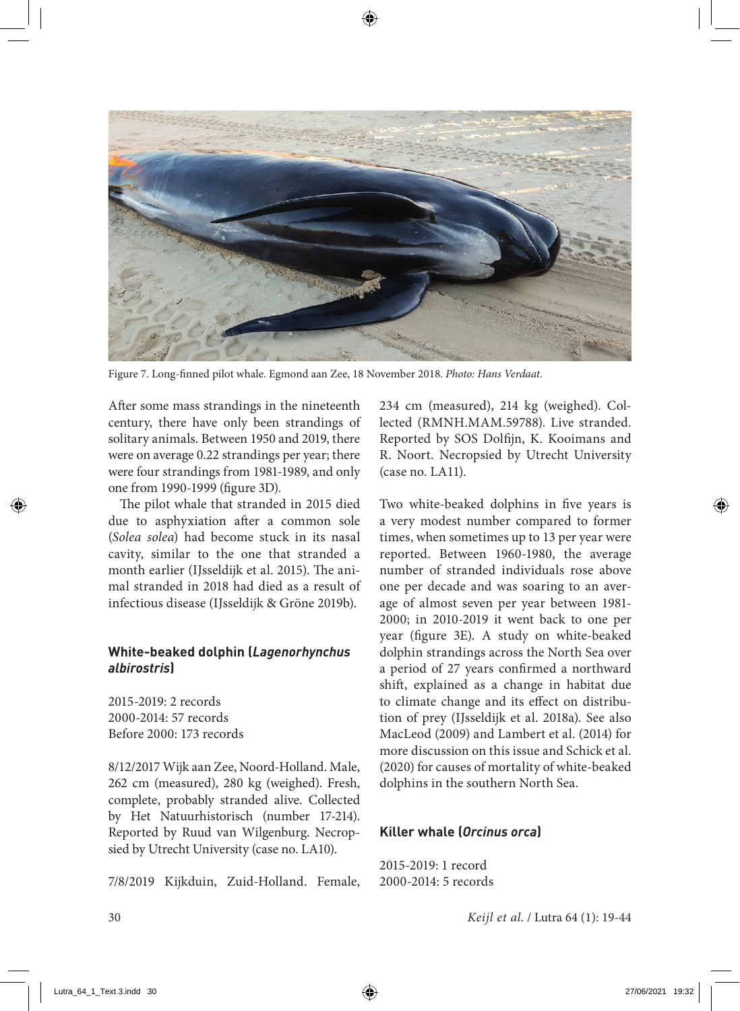

Figure 7. Long-finned pilot whale. Egmond aan Zee, 18 November 2018. *Photo: Hans Verdaat*.

After some mass strandings in the nineteenth century, there have only been strandings of solitary animals. Between 1950 and 2019, there were on average 0.22 strandings per year; there were four strandings from 1981-1989, and only one from 1990-1999 (figure 3D).

The pilot whale that stranded in 2015 died due to asphyxiation after a common sole (*Solea solea*) had become stuck in its nasal cavity, similar to the one that stranded a month earlier (IJsseldijk et al. 2015). The animal stranded in 2018 had died as a result of infectious disease (IJsseldijk & Gröne 2019b).

## **White-beaked dolphin (***Lagenorhynchus albirostris***)**

2015-2019: 2 records 2000-2014: 57 records Before 2000: 173 records

8/12/2017 Wijk aan Zee, Noord-Holland. Male, 262 cm (measured), 280 kg (weighed). Fresh, complete, probably stranded alive. Collected by Het Natuurhistorisch (number 17-214). Reported by Ruud van Wilgenburg. Necropsied by Utrecht University (case no. LA10).

7/8/2019 Kijkduin, Zuid-Holland. Female,

234 cm (measured), 214 kg (weighed). Collected (RMNH.MAM.59788). Live stranded. Reported by SOS Dolfijn, K. Kooimans and R. Noort. Necropsied by Utrecht University  $(case no LA11)$ .

Two white-beaked dolphins in five years is a very modest number compared to former times, when sometimes up to 13 per year were reported. Between 1960-1980, the average number of stranded individuals rose above one per decade and was soaring to an average of almost seven per year between 1981- 2000; in 2010-2019 it went back to one per year (figure 3E). A study on white-beaked dolphin strandings across the North Sea over a period of 27 years confirmed a northward shift, explained as a change in habitat due to climate change and its effect on distribution of prey (IJsseldijk et al. 2018a). See also MacLeod (2009) and Lambert et al. (2014) for more discussion on this issue and Schick et al. (2020) for causes of mortality of white-beaked dolphins in the southern North Sea.

# **Killer whale (***Orcinus orca***)**

2015-2019: 1 record 2000-2014: 5 records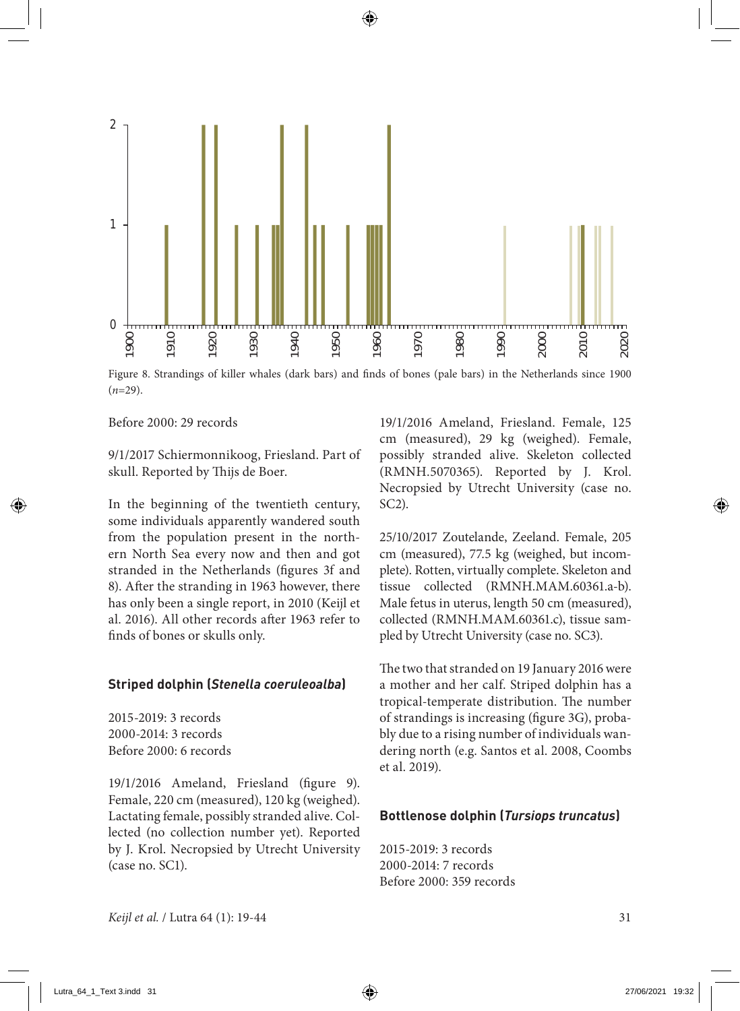

Figure 8. Strandings of killer whales (dark bars) and finds of bones (pale bars) in the Netherlands since 1900 (*n*=29).

Before 2000: 29 records

9/1/2017 Schiermonnikoog, Friesland. Part of skull. Reported by Thijs de Boer.

In the beginning of the twentieth century, some individuals apparently wandered south from the population present in the northern North Sea every now and then and got stranded in the Netherlands (figures 3f and 8). After the stranding in 1963 however, there has only been a single report, in 2010 (Keijl et al. 2016). All other records after 1963 refer to finds of bones or skulls only.

#### **Striped dolphin (***Stenella coeruleoalba***)**

2015-2019: 3 records 2000-2014: 3 records Before 2000: 6 records

19/1/2016 Ameland, Friesland (figure 9). Female, 220 cm (measured), 120 kg (weighed). Lactating female, possibly stranded alive. Collected (no collection number yet). Reported by J. Krol. Necropsied by Utrecht University (case no. SC1).

19/1/2016 Ameland, Friesland. Female, 125 cm (measured), 29 kg (weighed). Female, possibly stranded alive. Skeleton collected (RMNH.5070365). Reported by J. Krol. Necropsied by Utrecht University (case no. SC2).

25/10/2017 Zoutelande, Zeeland. Female, 205 cm (measured), 77.5 kg (weighed, but incomplete). Rotten, virtually complete. Skeleton and tissue collected (RMNH.MAM.60361.a-b). Male fetus in uterus, length 50 cm (measured), collected (RMNH.MAM.60361.c), tissue sampled by Utrecht University (case no. SC3).

The two that stranded on 19 January 2016 were a mother and her calf. Striped dolphin has a tropical-temperate distribution. The number of strandings is increasing (figure 3G), probably due to a rising number of individuals wandering north (e.g. Santos et al. 2008, Coombs et al. 2019).

#### **Bottlenose dolphin (***Tursiops truncatus***)**

2015-2019: 3 records 2000-2014: 7 records Before 2000: 359 records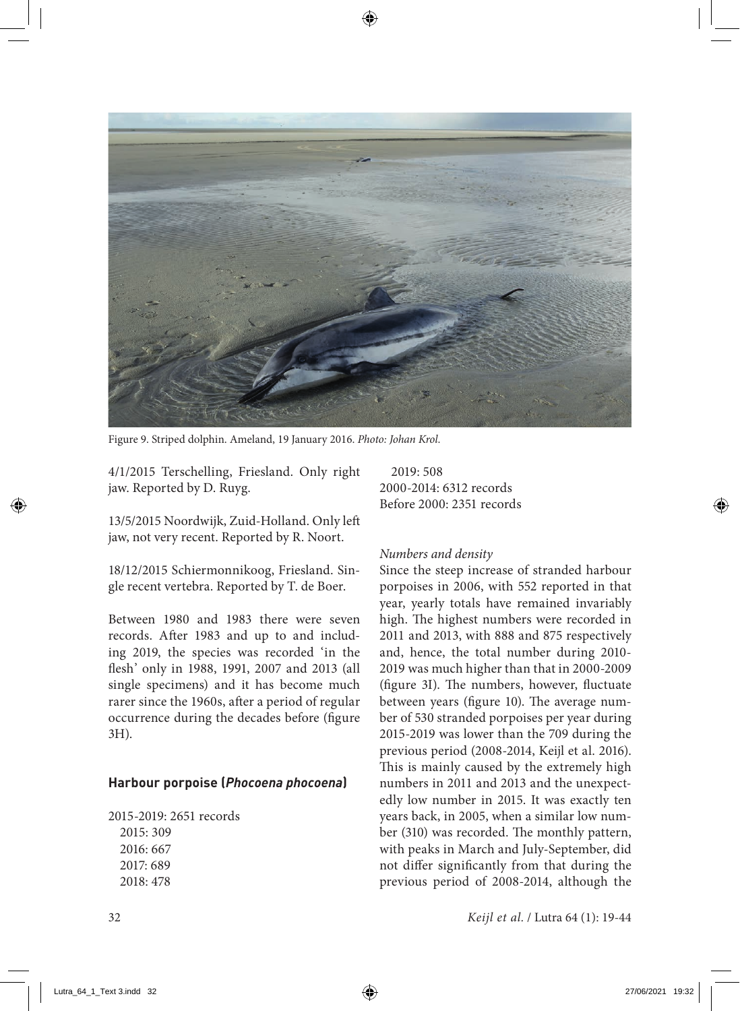

Figure 9. Striped dolphin. Ameland, 19 January 2016. *Photo: Johan Krol*.

4/1/2015 Terschelling, Friesland. Only right jaw. Reported by D. Ruyg.

13/5/2015 Noordwijk, Zuid-Holland. Only left jaw, not very recent. Reported by R. Noort.

18/12/2015 Schiermonnikoog, Friesland. Single recent vertebra. Reported by T. de Boer.

Between 1980 and 1983 there were seven records. After 1983 and up to and including 2019, the species was recorded 'in the flesh' only in 1988, 1991, 2007 and 2013 (all single specimens) and it has become much rarer since the 1960s, after a period of regular occurrence during the decades before (figure 3H).

#### **Harbour porpoise (***Phocoena phocoena***)**

2015-2019: 2651 records 2015: 309 2016: 667 2017: 689 2018: 478

2019: 508 2000-2014: 6312 records Before 2000: 2351 records

#### *Numbers and density*

Since the steep increase of stranded harbour porpoises in 2006, with 552 reported in that year, yearly totals have remained invariably high. The highest numbers were recorded in 2011 and 2013, with 888 and 875 respectively and, hence, the total number during 2010- 2019 was much higher than that in 2000-2009 (figure 3I). The numbers, however, fluctuate between years (figure 10). The average number of 530 stranded porpoises per year during 2015-2019 was lower than the 709 during the previous period (2008-2014, Keijl et al. 2016). This is mainly caused by the extremely high numbers in 2011 and 2013 and the unexpectedly low number in 2015. It was exactly ten years back, in 2005, when a similar low number (310) was recorded. The monthly pattern, with peaks in March and July-September, did not differ significantly from that during the previous period of 2008-2014, although the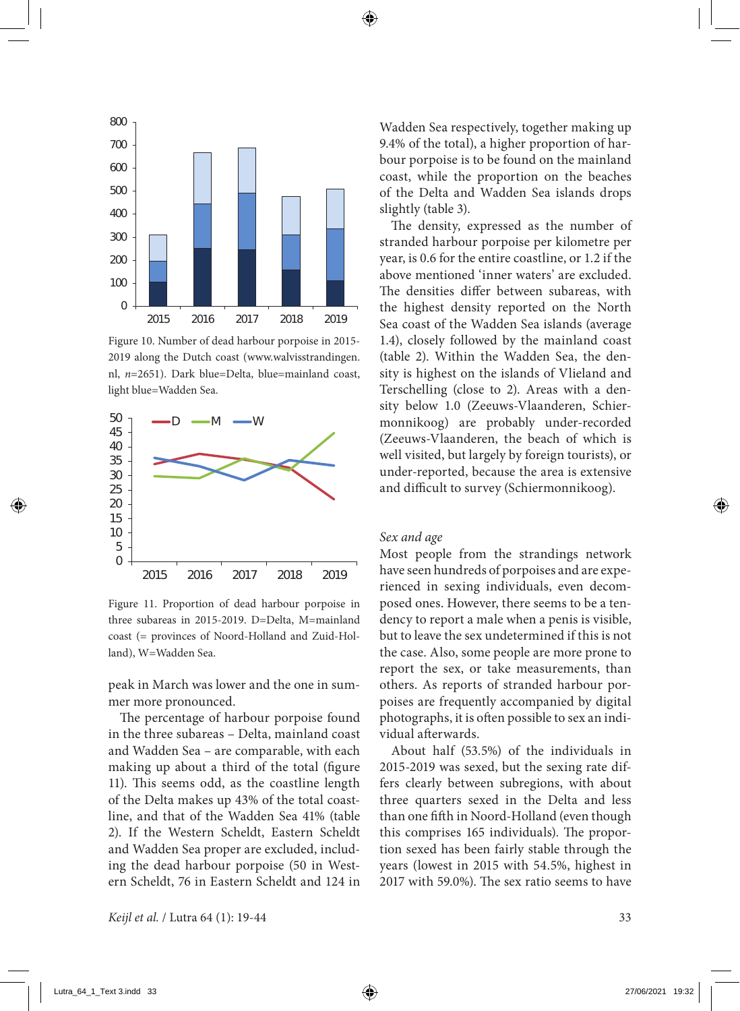

Figure 10. Number of dead harbour porpoise in 2015- 2019 along the Dutch coast (www.walvisstrandingen. nl, *n*=2651). Dark blue=Delta, blue=mainland coast, light blue=Wadden Sea.



Figure 11. Proportion of dead harbour porpoise in three subareas in 2015-2019. D=Delta, M=mainland coast (= provinces of Noord-Holland and Zuid-Holland), W=Wadden Sea.

peak in March was lower and the one in summer more pronounced.

The percentage of harbour porpoise found in the three subareas – Delta, mainland coast and Wadden Sea – are comparable, with each making up about a third of the total (figure 11). This seems odd, as the coastline length of the Delta makes up 43% of the total coastline, and that of the Wadden Sea 41% (table 2). If the Western Scheldt, Eastern Scheldt and Wadden Sea proper are excluded, including the dead harbour porpoise (50 in Western Scheldt, 76 in Eastern Scheldt and 124 in Wadden Sea respectively, together making up 9.4% of the total), a higher proportion of harbour porpoise is to be found on the mainland coast, while the proportion on the beaches of the Delta and Wadden Sea islands drops slightly (table 3).

The density, expressed as the number of stranded harbour porpoise per kilometre per year, is 0.6 for the entire coastline, or 1.2 if the above mentioned 'inner waters' are excluded. The densities differ between subareas, with the highest density reported on the North Sea coast of the Wadden Sea islands (average 1.4), closely followed by the mainland coast (table 2). Within the Wadden Sea, the density is highest on the islands of Vlieland and Terschelling (close to 2). Areas with a density below 1.0 (Zeeuws-Vlaanderen, Schiermonnikoog) are probably under-recorded (Zeeuws-Vlaanderen, the beach of which is well visited, but largely by foreign tourists), or under-reported, because the area is extensive and difficult to survey (Schiermonnikoog).

#### *Sex and age*

Most people from the strandings network have seen hundreds of porpoises and are experienced in sexing individuals, even decomposed ones. However, there seems to be a tendency to report a male when a penis is visible, but to leave the sex undetermined if this is not the case. Also, some people are more prone to report the sex, or take measurements, than others. As reports of stranded harbour porpoises are frequently accompanied by digital photographs, it is often possible to sex an individual afterwards.

About half (53.5%) of the individuals in 2015-2019 was sexed, but the sexing rate differs clearly between subregions, with about three quarters sexed in the Delta and less than one fifth in Noord-Holland (even though this comprises 165 individuals). The proportion sexed has been fairly stable through the years (lowest in 2015 with 54.5%, highest in 2017 with 59.0%). The sex ratio seems to have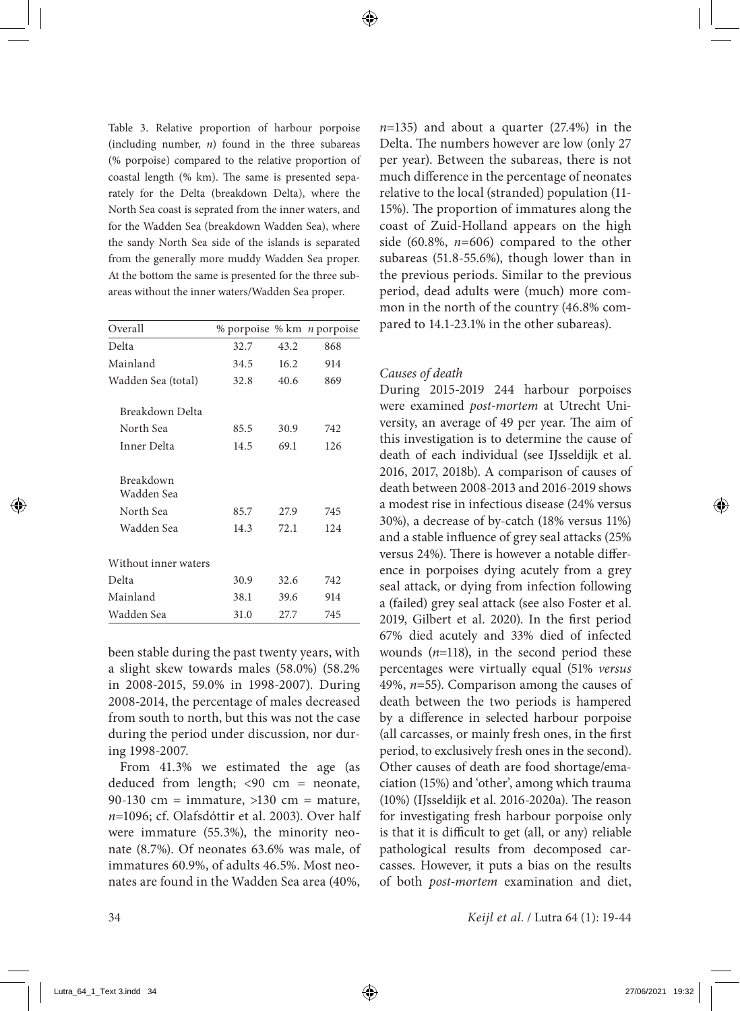Table 3. Relative proportion of harbour porpoise (including number, *n*) found in the three subareas (% porpoise) compared to the relative proportion of coastal length (% km). The same is presented separately for the Delta (breakdown Delta), where the North Sea coast is seprated from the inner waters, and for the Wadden Sea (breakdown Wadden Sea), where the sandy North Sea side of the islands is separated from the generally more muddy Wadden Sea proper. At the bottom the same is presented for the three subareas without the inner waters/Wadden Sea proper.

| Overall                 | % porpoise % km <i>n</i> porpoise |      |      |
|-------------------------|-----------------------------------|------|------|
| Delta                   | 32.7                              | 43.2 | 868  |
| Mainland                | 34.5                              | 16.2 | 914  |
| Wadden Sea (total)      | 32.8                              | 40.6 | 869  |
| Breakdown Delta         |                                   |      |      |
| North Sea               | 85.5                              | 30.9 | 742  |
| Inner Delta             | 14.5                              | 69.1 | 126  |
| Breakdown<br>Wadden Sea |                                   |      |      |
| North Sea               | 85.7                              | 27.9 | 745  |
| Wadden Sea              | 14.3                              | 72.1 | 12.4 |
| Without inner waters    |                                   |      |      |
| Delta                   | 30.9                              | 32.6 | 742  |
| Mainland                | 38.1                              | 39.6 | 914  |
| Wadden Sea              | 31.0                              | 27.7 | 745  |

been stable during the past twenty years, with a slight skew towards males (58.0%) (58.2% in 2008-2015, 59.0% in 1998-2007). During 2008-2014, the percentage of males decreased from south to north, but this was not the case during the period under discussion, nor during 1998-2007.

From 41.3% we estimated the age (as deduced from length; <90 cm = neonate, 90-130 cm = immature,  $>130$  cm = mature, *n*=1096; cf. Olafsdóttir et al. 2003). Over half were immature (55.3%), the minority neonate (8.7%). Of neonates 63.6% was male, of immatures 60.9%, of adults 46.5%. Most neonates are found in the Wadden Sea area (40%,

*n*=135) and about a quarter (27.4%) in the Delta. The numbers however are low (only 27 per year). Between the subareas, there is not much difference in the percentage of neonates relative to the local (stranded) population (11- 15%). The proportion of immatures along the coast of Zuid-Holland appears on the high side (60.8%, *n*=606) compared to the other subareas (51.8-55.6%), though lower than in the previous periods. Similar to the previous period, dead adults were (much) more common in the north of the country (46.8% compared to 14.1-23.1% in the other subareas).

#### *Causes of death*

During 2015-2019 244 harbour porpoises were examined *post-mortem* at Utrecht University, an average of 49 per year. The aim of this investigation is to determine the cause of death of each individual (see IJsseldijk et al. 2016, 2017, 2018b). A comparison of causes of death between 2008-2013 and 2016-2019 shows a modest rise in infectious disease (24% versus 30%), a decrease of by-catch (18% versus 11%) and a stable influence of grey seal attacks (25% versus 24%). There is however a notable difference in porpoises dying acutely from a grey seal attack, or dying from infection following a (failed) grey seal attack (see also Foster et al. 2019, Gilbert et al. 2020). In the first period 67% died acutely and 33% died of infected wounds (*n*=118), in the second period these percentages were virtually equal (51% *versus* 49%, *n*=55). Comparison among the causes of death between the two periods is hampered by a difference in selected harbour porpoise (all carcasses, or mainly fresh ones, in the first period, to exclusively fresh ones in the second). Other causes of death are food shortage/emaciation (15%) and 'other', among which trauma (10%) (IJsseldijk et al. 2016-2020a). The reason for investigating fresh harbour porpoise only is that it is difficult to get (all, or any) reliable pathological results from decomposed carcasses. However, it puts a bias on the results of both *post-mortem* examination and diet,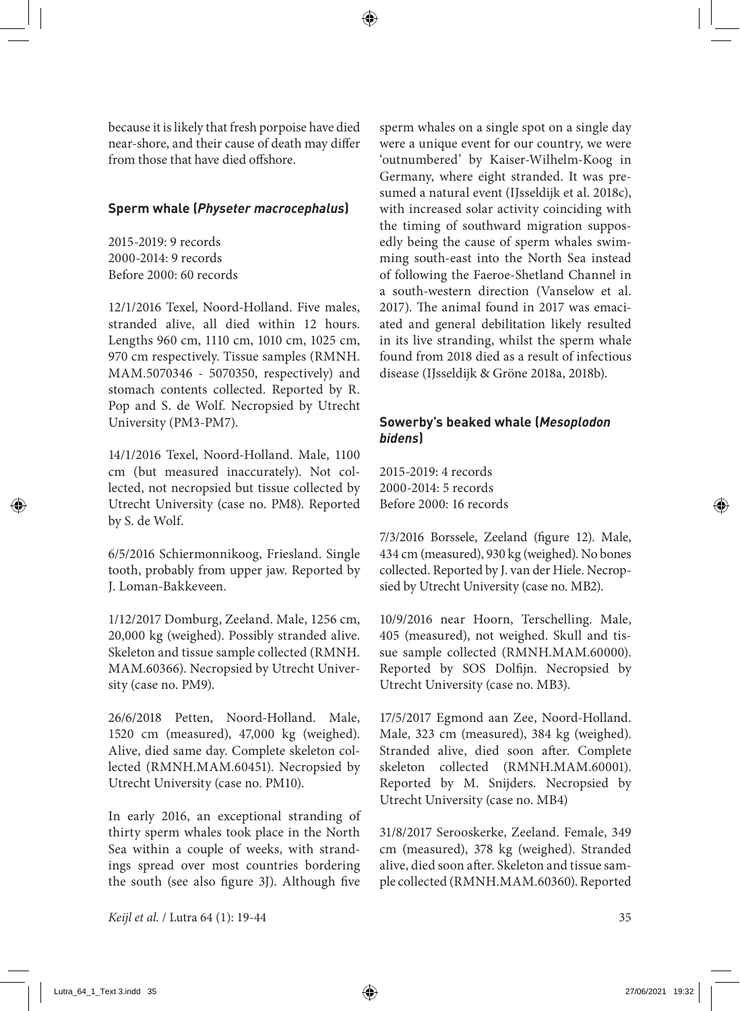because it is likely that fresh porpoise have died near-shore, and their cause of death may differ from those that have died offshore.

#### **Sperm whale (***Physeter macrocephalus***)**

2015-2019: 9 records 2000-2014: 9 records Before 2000: 60 records

12/1/2016 Texel, Noord-Holland. Five males, stranded alive, all died within 12 hours. Lengths 960 cm, 1110 cm, 1010 cm, 1025 cm, 970 cm respectively. Tissue samples (RMNH. MAM.5070346 - 5070350, respectively) and stomach contents collected. Reported by R. Pop and S. de Wolf. Necropsied by Utrecht University (PM3-PM7).

14/1/2016 Texel, Noord-Holland. Male, 1100 cm (but measured inaccurately). Not collected, not necropsied but tissue collected by Utrecht University (case no. PM8). Reported by S. de Wolf.

6/5/2016 Schiermonnikoog, Friesland. Single tooth, probably from upper jaw. Reported by J. Loman-Bakkeveen.

1/12/2017 Domburg, Zeeland. Male, 1256 cm, 20,000 kg (weighed). Possibly stranded alive. Skeleton and tissue sample collected (RMNH. MAM.60366). Necropsied by Utrecht University (case no. PM9).

26/6/2018 Petten, Noord-Holland. Male, 1520 cm (measured), 47,000 kg (weighed). Alive, died same day. Complete skeleton collected (RMNH.MAM.60451). Necropsied by Utrecht University (case no. PM10).

In early 2016, an exceptional stranding of thirty sperm whales took place in the North Sea within a couple of weeks, with strandings spread over most countries bordering the south (see also figure 3J). Although five

sperm whales on a single spot on a single day were a unique event for our country, we were 'outnumbered' by Kaiser-Wilhelm-Koog in Germany, where eight stranded. It was presumed a natural event (IJsseldijk et al. 2018c), with increased solar activity coinciding with the timing of southward migration supposedly being the cause of sperm whales swimming south-east into the North Sea instead of following the Faeroe-Shetland Channel in a south-western direction (Vanselow et al. 2017). The animal found in 2017 was emaciated and general debilitation likely resulted in its live stranding, whilst the sperm whale found from 2018 died as a result of infectious disease (IJsseldijk & Gröne 2018a, 2018b).

# **Sowerby's beaked whale (***Mesoplodon bidens***)**

2015-2019: 4 records 2000-2014: 5 records Before 2000: 16 records

7/3/2016 Borssele, Zeeland (figure 12). Male, 434 cm (measured), 930 kg (weighed). No bones collected. Reported by J. van der Hiele. Necropsied by Utrecht University (case no. MB2).

10/9/2016 near Hoorn, Terschelling. Male, 405 (measured), not weighed. Skull and tissue sample collected (RMNH.MAM.60000). Reported by SOS Dolfijn. Necropsied by Utrecht University (case no. MB3).

17/5/2017 Egmond aan Zee, Noord-Holland. Male, 323 cm (measured), 384 kg (weighed). Stranded alive, died soon after. Complete skeleton collected (RMNH.MAM.60001). Reported by M. Snijders. Necropsied by Utrecht University (case no. MB4)

31/8/2017 Serooskerke, Zeeland. Female, 349 cm (measured), 378 kg (weighed). Stranded alive, died soon after. Skeleton and tissue sample collected (RMNH.MAM.60360). Reported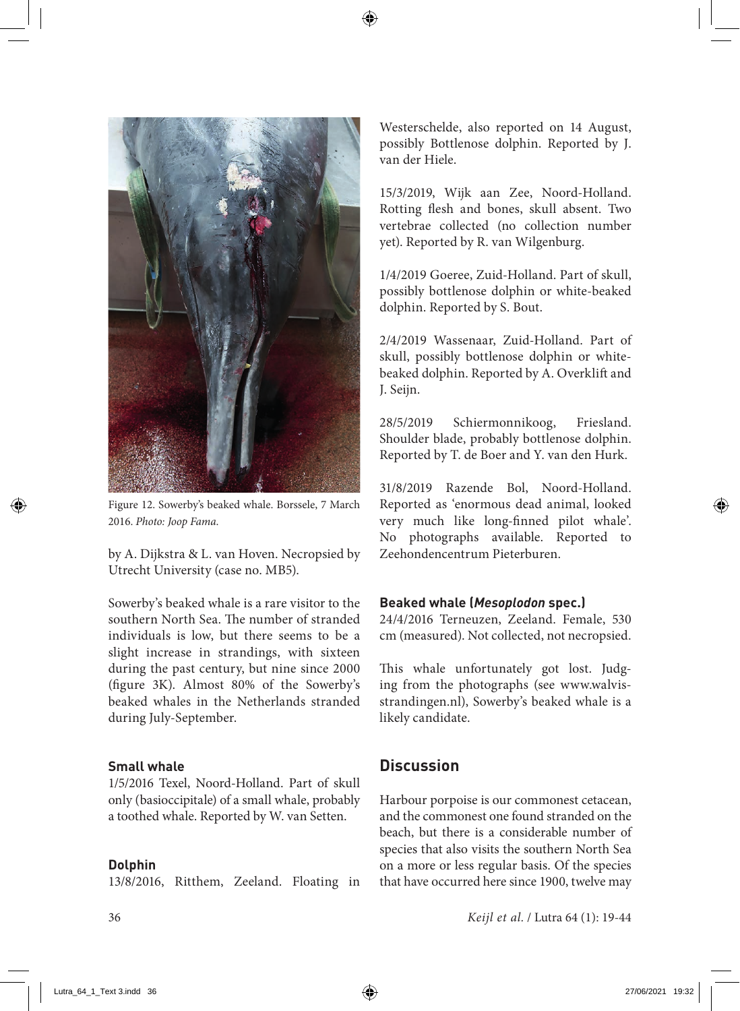

Figure 12. Sowerby's beaked whale. Borssele, 7 March 2016. *Photo: Joop Fama*.

by A. Dijkstra & L. van Hoven. Necropsied by Utrecht University (case no. MB5).

Sowerby's beaked whale is a rare visitor to the southern North Sea. The number of stranded individuals is low, but there seems to be a slight increase in strandings, with sixteen during the past century, but nine since 2000 (figure 3K). Almost 80% of the Sowerby's beaked whales in the Netherlands stranded during July-September.

## **Small whale**

1/5/2016 Texel, Noord-Holland. Part of skull only (basioccipitale) of a small whale, probably a toothed whale. Reported by W. van Setten.

#### **Dolphin**

13/8/2016, Ritthem, Zeeland. Floating in

Westerschelde, also reported on 14 August, possibly Bottlenose dolphin. Reported by J. van der Hiele.

15/3/2019, Wijk aan Zee, Noord-Holland. Rotting flesh and bones, skull absent. Two vertebrae collected (no collection number yet). Reported by R. van Wilgenburg.

1/4/2019 Goeree, Zuid-Holland. Part of skull, possibly bottlenose dolphin or white-beaked dolphin. Reported by S. Bout.

2/4/2019 Wassenaar, Zuid-Holland. Part of skull, possibly bottlenose dolphin or whitebeaked dolphin. Reported by A. Overklift and J. Seijn.

28/5/2019 Schiermonnikoog, Friesland. Shoulder blade, probably bottlenose dolphin. Reported by T. de Boer and Y. van den Hurk.

31/8/2019 Razende Bol, Noord-Holland. Reported as 'enormous dead animal, looked very much like long-finned pilot whale'. No photographs available. Reported to Zeehondencentrum Pieterburen.

#### **Beaked whale (***Mesoplodon* **spec.)**

24/4/2016 Terneuzen, Zeeland. Female, 530 cm (measured). Not collected, not necropsied.

This whale unfortunately got lost. Judging from the photographs (see www.walvisstrandingen.nl), Sowerby's beaked whale is a likely candidate.

# **Discussion**

Harbour porpoise is our commonest cetacean, and the commonest one found stranded on the beach, but there is a considerable number of species that also visits the southern North Sea on a more or less regular basis. Of the species that have occurred here since 1900, twelve may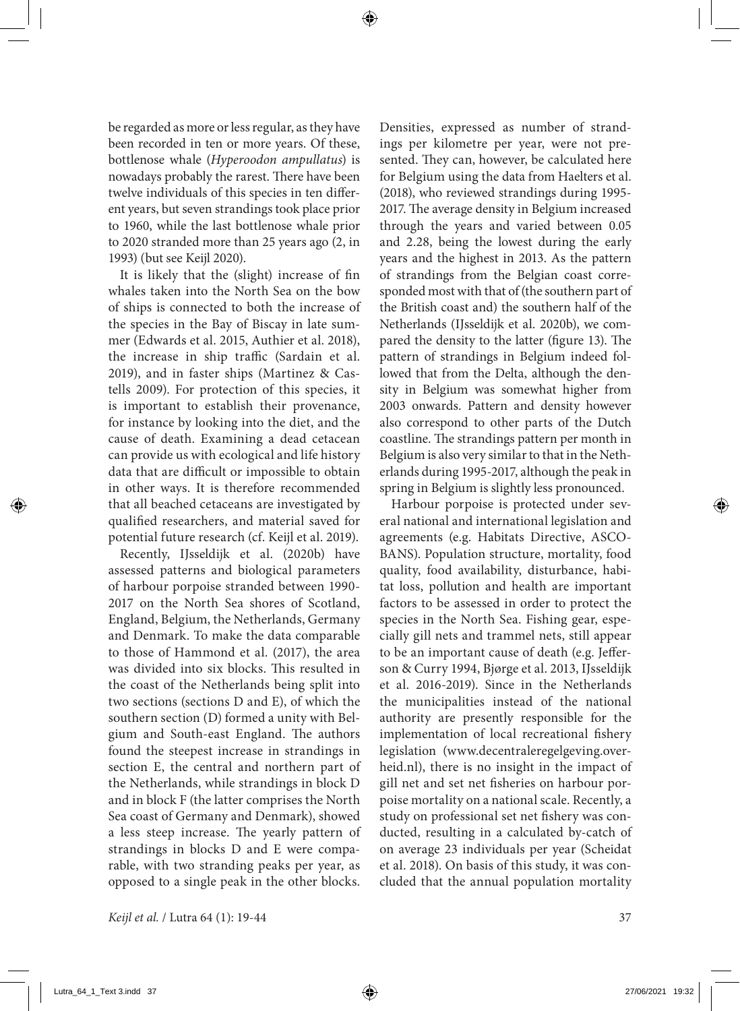be regarded as more or less regular, as they have been recorded in ten or more years. Of these, bottlenose whale (*Hyperoodon ampullatus*) is nowadays probably the rarest. There have been twelve individuals of this species in ten different years, but seven strandings took place prior to 1960, while the last bottlenose whale prior to 2020 stranded more than 25 years ago (2, in 1993) (but see Keijl 2020).

It is likely that the (slight) increase of fin whales taken into the North Sea on the bow of ships is connected to both the increase of the species in the Bay of Biscay in late summer (Edwards et al. 2015, Authier et al. 2018), the increase in ship traffic (Sardain et al. 2019), and in faster ships (Martinez & Castells 2009). For protection of this species, it is important to establish their provenance, for instance by looking into the diet, and the cause of death. Examining a dead cetacean can provide us with ecological and life history data that are difficult or impossible to obtain in other ways. It is therefore recommended that all beached cetaceans are investigated by qualified researchers, and material saved for potential future research (cf. Keijl et al. 2019).

Recently, IJsseldijk et al. (2020b) have assessed patterns and biological parameters of harbour porpoise stranded between 1990- 2017 on the North Sea shores of Scotland, England, Belgium, the Netherlands, Germany and Denmark. To make the data comparable to those of Hammond et al. (2017), the area was divided into six blocks. This resulted in the coast of the Netherlands being split into two sections (sections D and E), of which the southern section (D) formed a unity with Belgium and South-east England. The authors found the steepest increase in strandings in section E, the central and northern part of the Netherlands, while strandings in block D and in block F (the latter comprises the North Sea coast of Germany and Denmark), showed a less steep increase. The yearly pattern of strandings in blocks D and E were comparable, with two stranding peaks per year, as opposed to a single peak in the other blocks.

Densities, expressed as number of strandings per kilometre per year, were not presented. They can, however, be calculated here for Belgium using the data from Haelters et al. (2018), who reviewed strandings during 1995- 2017. The average density in Belgium increased through the years and varied between 0.05 and 2.28, being the lowest during the early years and the highest in 2013. As the pattern of strandings from the Belgian coast corresponded most with that of (the southern part of the British coast and) the southern half of the Netherlands (IJsseldijk et al. 2020b), we compared the density to the latter (figure 13). The pattern of strandings in Belgium indeed followed that from the Delta, although the density in Belgium was somewhat higher from 2003 onwards. Pattern and density however also correspond to other parts of the Dutch coastline. The strandings pattern per month in Belgium is also very similar to that in the Netherlands during 1995-2017, although the peak in spring in Belgium is slightly less pronounced.

Harbour porpoise is protected under several national and international legislation and agreements (e.g. Habitats Directive, ASCO-BANS). Population structure, mortality, food quality, food availability, disturbance, habitat loss, pollution and health are important factors to be assessed in order to protect the species in the North Sea. Fishing gear, especially gill nets and trammel nets, still appear to be an important cause of death (e.g. Jefferson & Curry 1994, Bjørge et al. 2013, IJsseldijk et al. 2016-2019). Since in the Netherlands the municipalities instead of the national authority are presently responsible for the implementation of local recreational fishery legislation (www.decentraleregelgeving.overheid.nl), there is no insight in the impact of gill net and set net fisheries on harbour porpoise mortality on a national scale. Recently, a study on professional set net fishery was conducted, resulting in a calculated by-catch of on average 23 individuals per year (Scheidat et al. 2018). On basis of this study, it was concluded that the annual population mortality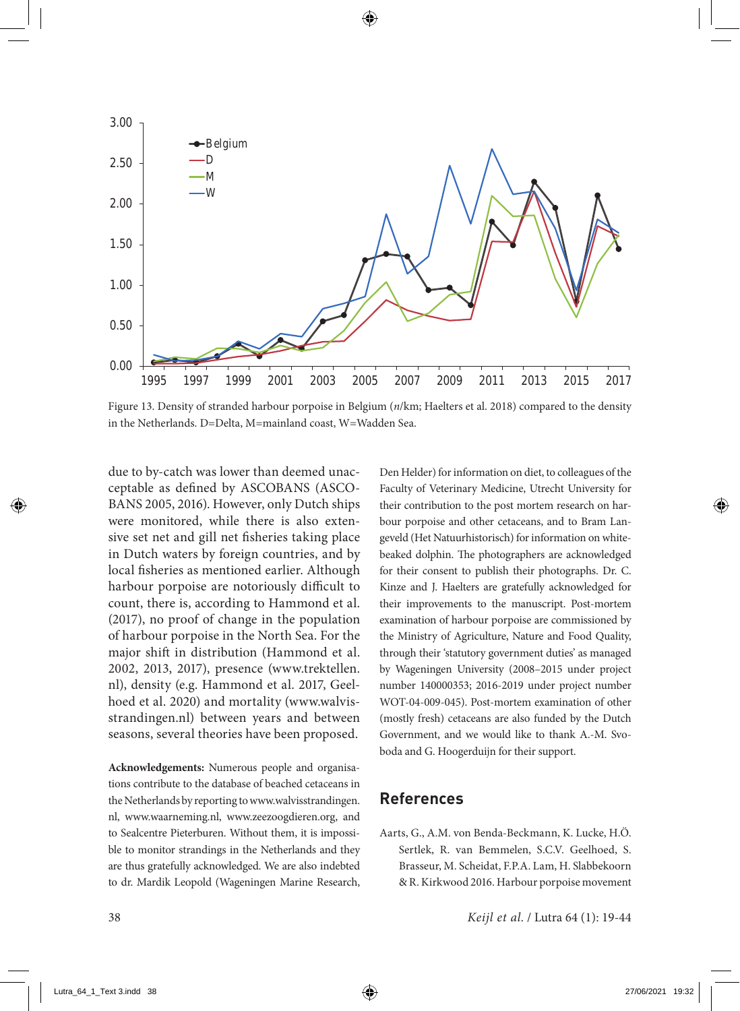

Figure 13. Density of stranded harbour porpoise in Belgium (*n*/km; Haelters et al. 2018) compared to the density in the Netherlands. D=Delta, M=mainland coast, W=Wadden Sea.

due to by-catch was lower than deemed unacceptable as defined by ASCOBANS (ASCO-BANS 2005, 2016). However, only Dutch ships were monitored, while there is also extensive set net and gill net fisheries taking place in Dutch waters by foreign countries, and by local fisheries as mentioned earlier. Although harbour porpoise are notoriously difficult to count, there is, according to Hammond et al. (2017), no proof of change in the population of harbour porpoise in the North Sea. For the major shift in distribution (Hammond et al. 2002, 2013, 2017), presence (www.trektellen. nl), density (e.g. Hammond et al. 2017, Geelhoed et al. 2020) and mortality (www.walvisstrandingen.nl) between years and between seasons, several theories have been proposed.

**Acknowledgements:** Numerous people and organisations contribute to the database of beached cetaceans in the Netherlands by reporting to www.walvisstrandingen. nl, www.waarneming.nl, www.zeezoogdieren.org, and to Sealcentre Pieterburen. Without them, it is impossible to monitor strandings in the Netherlands and they are thus gratefully acknowledged. We are also indebted to dr. Mardik Leopold (Wageningen Marine Research, Den Helder) for information on diet, to colleagues of the Faculty of Veterinary Medicine, Utrecht University for their contribution to the post mortem research on harbour porpoise and other cetaceans, and to Bram Langeveld (Het Natuurhistorisch) for information on whitebeaked dolphin. The photographers are acknowledged for their consent to publish their photographs. Dr. C. Kinze and J. Haelters are gratefully acknowledged for their improvements to the manuscript. Post-mortem examination of harbour porpoise are commissioned by the Ministry of Agriculture, Nature and Food Quality, through their 'statutory government duties' as managed by Wageningen University (2008–2015 under project number 140000353; 2016-2019 under project number WOT-04-009-045). Post-mortem examination of other (mostly fresh) cetaceans are also funded by the Dutch Government, and we would like to thank A.-M. Svoboda and G. Hoogerduijn for their support.

# **References**

Aarts, G., A.M. von Benda-Beckmann, K. Lucke, H.Ö. Sertlek, R. van Bemmelen, S.C.V. Geelhoed, S. Brasseur, M. Scheidat, F.P.A. Lam, H. Slabbekoorn & R. Kirkwood 2016. Harbour porpoise movement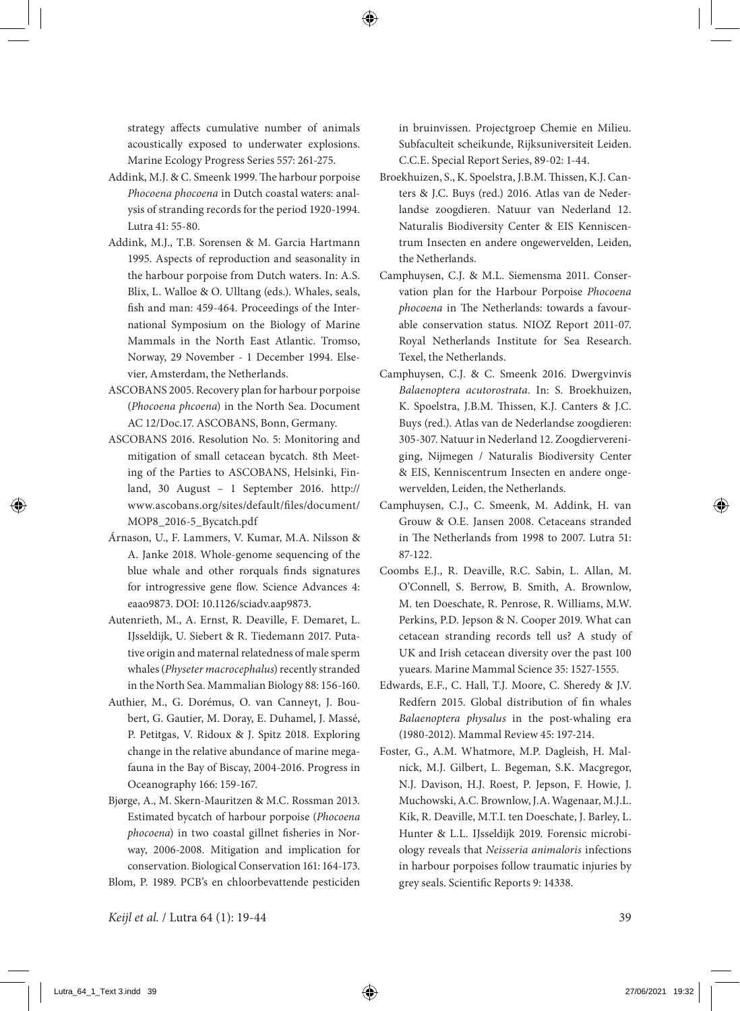strategy affects cumulative number of animals acoustically exposed to underwater explosions. Marine Ecology Progress Series 557: 261-275.

- Addink, M.J. & C. Smeenk 1999. The harbour porpoise *Phocoena phocoena* in Dutch coastal waters: analysis of stranding records for the period 1920-1994. Lutra 41: 55-80.
- Addink, M.J., T.B. Sorensen & M. Garcia Hartmann 1995. Aspects of reproduction and seasonality in the harbour porpoise from Dutch waters. In: A.S. Blix, L. Walloe & O. Ulltang (eds.). Whales, seals, fish and man: 459-464. Proceedings of the International Symposium on the Biology of Marine Mammals in the North East Atlantic. Tromso, Norway, 29 November - 1 December 1994. Elsevier, Amsterdam, the Netherlands.
- ASCOBANS 2005. Recovery plan for harbour porpoise (*Phocoena phcoena*) in the North Sea. Document AC 12/Doc.17. ASCOBANS, Bonn, Germany.
- ASCOBANS 2016. Resolution No. 5: Monitoring and mitigation of small cetacean bycatch. 8th Meeting of the Parties to ASCOBANS, Helsinki, Finland, 30 August – 1 September 2016. http:// www.ascobans.org/sites/default/files/document/ MOP8\_2016-5\_Bycatch.pdf
- Árnason, U., F. Lammers, V. Kumar, M.A. Nilsson & A. Janke 2018. Whole-genome sequencing of the blue whale and other rorquals finds signatures for introgressive gene flow. Science Advances 4: eaao9873. DOI: 10.1126/sciadv.aap9873.
- Autenrieth, M., A. Ernst, R. Deaville, F. Demaret, L. IJsseldijk, U. Siebert & R. Tiedemann 2017. Putative origin and maternal relatedness of male sperm whales (*Physeter macrocephalus*) recently stranded in the North Sea. Mammalian Biology 88: 156-160.
- Authier, M., G. Dorémus, O. van Canneyt, J. Boubert, G. Gautier, M. Doray, E. Duhamel, J. Massé, P. Petitgas, V. Ridoux & J. Spitz 2018. Exploring change in the relative abundance of marine megafauna in the Bay of Biscay, 2004-2016. Progress in Oceanography 166: 159-167.
- Bjørge, A., M. Skern-Mauritzen & M.C. Rossman 2013. Estimated bycatch of harbour porpoise (*Phocoena phocoena*) in two coastal gillnet fisheries in Norway, 2006-2008. Mitigation and implication for conservation. Biological Conservation 161: 164-173.

Blom, P. 1989. PCB's en chloorbevattende pesticiden

in bruinvissen. Projectgroep Chemie en Milieu. Subfaculteit scheikunde, Rijksuniversiteit Leiden. C.C.E. Special Report Series, 89-02: 1-44.

- Broekhuizen, S., K. Spoelstra, J.B.M. Thissen, K.J. Canters & J.C. Buys (red.) 2016. Atlas van de Nederlandse zoogdieren. Natuur van Nederland 12. Naturalis Biodiversity Center & EIS Kenniscentrum Insecten en andere ongewervelden, Leiden, the Netherlands.
- Camphuysen, C.J. & M.L. Siemensma 2011. Conservation plan for the Harbour Porpoise *Phocoena phocoena* in The Netherlands: towards a favourable conservation status. NIOZ Report 2011-07. Royal Netherlands Institute for Sea Research. Texel, the Netherlands.
- Camphuysen, C.J. & C. Smeenk 2016. Dwergvinvis *Balaenoptera acutorostrata*. In: S. Broekhuizen, K. Spoelstra, J.B.M. Thissen, K.J. Canters & J.C. Buys (red.). Atlas van de Nederlandse zoogdieren: 305-307. Natuur in Nederland 12. Zoogdiervereniging, Nijmegen / Naturalis Biodiversity Center & EIS, Kenniscentrum Insecten en andere ongewervelden, Leiden, the Netherlands.
- Camphuysen, C.J., C. Smeenk, M. Addink, H. van Grouw & O.E. Jansen 2008. Cetaceans stranded in The Netherlands from 1998 to 2007. Lutra 51: 87-122.
- Coombs E.J., R. Deaville, R.C. Sabin, L. Allan, M. O'Connell, S. Berrow, B. Smith, A. Brownlow, M. ten Doeschate, R. Penrose, R. Williams, M.W. Perkins, P.D. Jepson & N. Cooper 2019. What can cetacean stranding records tell us? A study of UK and Irish cetacean diversity over the past 100 yuears. Marine Mammal Science 35: 1527-1555.
- Edwards, E.F., C. Hall, T.J. Moore, C. Sheredy & J.V. Redfern 2015. Global distribution of fin whales *Balaenoptera physalus* in the post‐whaling era (1980-2012). Mammal Review 45: 197-214.
- Foster, G., A.M. Whatmore, M.P. Dagleish, H. Malnick, M.J. Gilbert, L. Begeman, S.K. Macgregor, N.J. Davison, H.J. Roest, P. Jepson, F. Howie, J. Muchowski, A.C. Brownlow, J.A. Wagenaar, M.J.L. Kik, R. Deaville, M.T.I. ten Doeschate, J. Barley, L. Hunter & L.L. IJsseldijk 2019. Forensic microbiology reveals that *Neisseria animaloris* infections in harbour porpoises follow traumatic injuries by grey seals. Scientific Reports 9: 14338.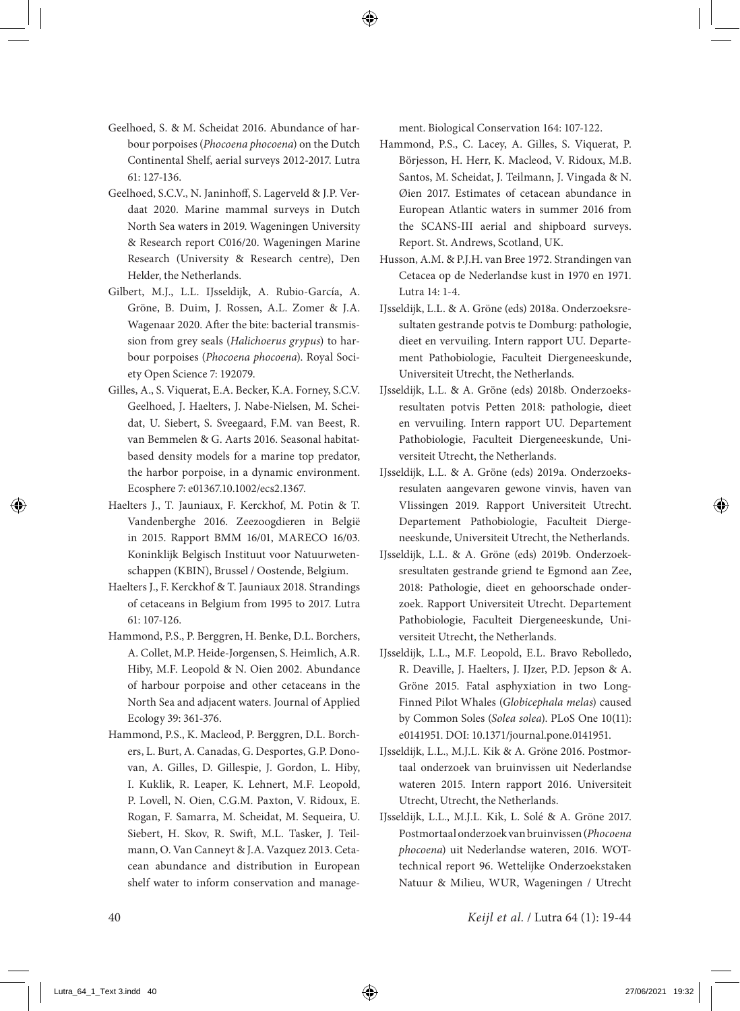- Geelhoed, S. & M. Scheidat 2016. Abundance of harbour porpoises (*Phocoena phocoena*) on the Dutch Continental Shelf, aerial surveys 2012-2017. Lutra 61: 127-136.
- Geelhoed, S.C.V., N. Janinhoff, S. Lagerveld & J.P. Verdaat 2020. Marine mammal surveys in Dutch North Sea waters in 2019. Wageningen University & Research report C016/20. Wageningen Marine Research (University & Research centre), Den Helder, the Netherlands.
- Gilbert, M.J., L.L. IJsseldijk, A. Rubio-García, A. Gröne, B. Duim, J. Rossen, A.L. Zomer & J.A. Wagenaar 2020. After the bite: bacterial transmission from grey seals (*Halichoerus grypus*) to harbour porpoises (*Phocoena phocoena*). Royal Society Open Science 7: 192079.
- Gilles, A., S. Viquerat, E.A. Becker, K.A. Forney, S.C.V. Geelhoed, J. Haelters, J. Nabe-Nielsen, M. Scheidat, U. Siebert, S. Sveegaard, F.M. van Beest, R. van Bemmelen & G. Aarts 2016. Seasonal habitatbased density models for a marine top predator, the harbor porpoise, in a dynamic environment. Ecosphere 7: e01367.10.1002/ecs2.1367.
- Haelters J., T. Jauniaux, F. Kerckhof, M. Potin & T. Vandenberghe 2016. Zeezoogdieren in België in 2015. Rapport BMM 16/01, MARECO 16/03. Koninklijk Belgisch Instituut voor Natuurwetenschappen (KBIN), Brussel / Oostende, Belgium.
- Haelters J., F. Kerckhof & T. Jauniaux 2018. Strandings of cetaceans in Belgium from 1995 to 2017. Lutra 61: 107-126.
- Hammond, P.S., P. Berggren, H. Benke, D.L. Borchers, A. Collet, M.P. Heide-Jorgensen, S. Heimlich, A.R. Hiby, M.F. Leopold & N. Oien 2002. Abundance of harbour porpoise and other cetaceans in the North Sea and adjacent waters. Journal of Applied Ecology 39: 361-376.
- Hammond, P.S., K. Macleod, P. Berggren, D.L. Borchers, L. Burt, A. Canadas, G. Desportes, G.P. Donovan, A. Gilles, D. Gillespie, J. Gordon, L. Hiby, I. Kuklik, R. Leaper, K. Lehnert, M.F. Leopold, P. Lovell, N. Oien, C.G.M. Paxton, V. Ridoux, E. Rogan, F. Samarra, M. Scheidat, M. Sequeira, U. Siebert, H. Skov, R. Swift, M.L. Tasker, J. Teilmann, O. Van Canneyt & J.A. Vazquez 2013. Cetacean abundance and distribution in European shelf water to inform conservation and manage-

ment. Biological Conservation 164: 107-122.

- Hammond, P.S., C. Lacey, A. Gilles, S. Viquerat, P. Börjesson, H. Herr, K. Macleod, V. Ridoux, M.B. Santos, M. Scheidat, J. Teilmann, J. Vingada & N. Øien 2017. Estimates of cetacean abundance in European Atlantic waters in summer 2016 from the SCANS-III aerial and shipboard surveys. Report. St. Andrews, Scotland, UK.
- Husson, A.M. & P.J.H. van Bree 1972. Strandingen van Cetacea op de Nederlandse kust in 1970 en 1971. Lutra 14: 1-4.
- IJsseldijk, L.L. & A. Gröne (eds) 2018a. Onderzoeksresultaten gestrande potvis te Domburg: pathologie, dieet en vervuiling. Intern rapport UU. Departement Pathobiologie, Faculteit Diergeneeskunde, Universiteit Utrecht, the Netherlands.
- IJsseldijk, L.L. & A. Gröne (eds) 2018b. Onderzoeksresultaten potvis Petten 2018: pathologie, dieet en vervuiling. Intern rapport UU. Departement Pathobiologie, Faculteit Diergeneeskunde, Universiteit Utrecht, the Netherlands.
- IJsseldijk, L.L. & A. Gröne (eds) 2019a. Onderzoeksresulaten aangevaren gewone vinvis, haven van Vlissingen 2019. Rapport Universiteit Utrecht. Departement Pathobiologie, Faculteit Diergeneeskunde, Universiteit Utrecht, the Netherlands.
- IJsseldijk, L.L. & A. Gröne (eds) 2019b. Onderzoeksresultaten gestrande griend te Egmond aan Zee, 2018: Pathologie, dieet en gehoorschade onderzoek. Rapport Universiteit Utrecht. Departement Pathobiologie, Faculteit Diergeneeskunde, Universiteit Utrecht, the Netherlands.
- IJsseldijk, L.L., M.F. Leopold, E.L. Bravo Rebolledo, R. Deaville, J. Haelters, J. IJzer, P.D. Jepson & A. Gröne 2015. Fatal asphyxiation in two Long-Finned Pilot Whales (*Globicephala melas*) caused by Common Soles (*Solea solea*). PLoS One 10(11): e0141951. DOI: 10.1371/journal.pone.0141951.
- IJsseldijk, L.L., M.J.L. Kik & A. Gröne 2016. Postmortaal onderzoek van bruinvissen uit Nederlandse wateren 2015. Intern rapport 2016. Universiteit Utrecht, Utrecht, the Netherlands.
- IJsseldijk, L.L., M.J.L. Kik, L. Solé & A. Gröne 2017. Postmortaal onderzoek van bruinvissen (*Phocoena phocoena*) uit Nederlandse wateren, 2016. WOTtechnical report 96. Wettelijke Onderzoekstaken Natuur & Milieu, WUR, Wageningen / Utrecht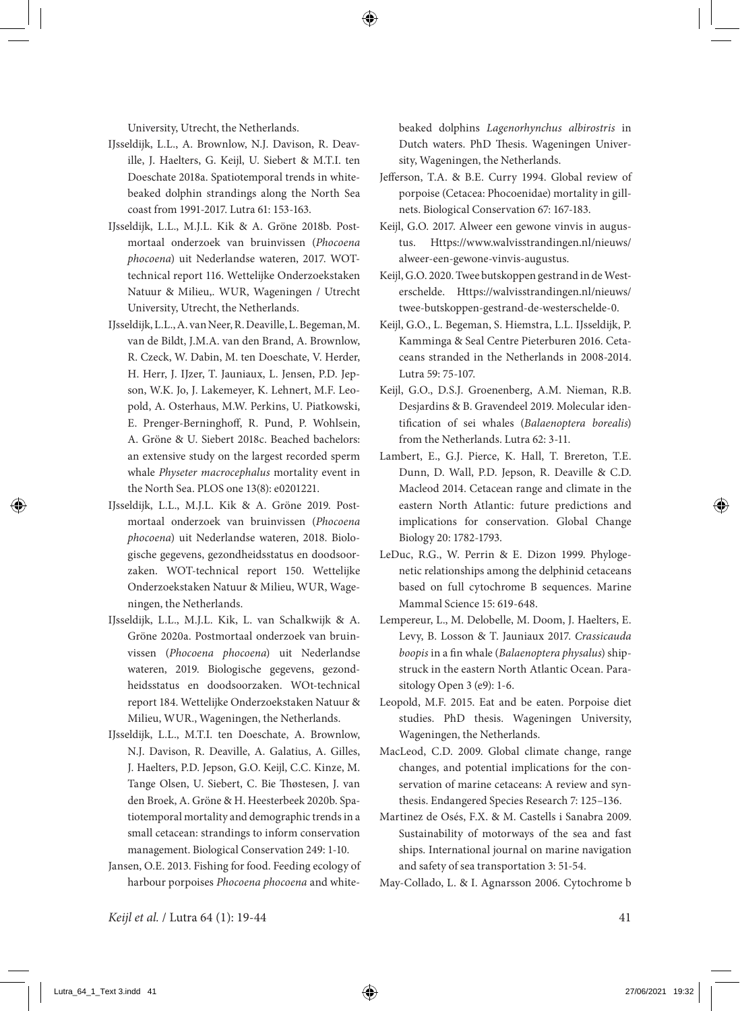University, Utrecht, the Netherlands.

- IJsseldijk, L.L., A. Brownlow, N.J. Davison, R. Deaville, J. Haelters, G. Keijl, U. Siebert & M.T.I. ten Doeschate 2018a. Spatiotemporal trends in whitebeaked dolphin strandings along the North Sea coast from 1991-2017. Lutra 61: 153-163.
- IJsseldijk, L.L., M.J.L. Kik & A. Gröne 2018b. Postmortaal onderzoek van bruinvissen (*Phocoena phocoena*) uit Nederlandse wateren, 2017. WOTtechnical report 116. Wettelijke Onderzoekstaken Natuur & Milieu,. WUR, Wageningen / Utrecht University, Utrecht, the Netherlands.
- IJsseldijk, L.L., A. van Neer, R. Deaville, L. Begeman, M. van de Bildt, J.M.A. van den Brand, A. Brownlow, R. Czeck, W. Dabin, M. ten Doeschate, V. Herder, H. Herr, J. IJzer, T. Jauniaux, L. Jensen, P.D. Jepson, W.K. Jo, J. Lakemeyer, K. Lehnert, M.F. Leopold, A. Osterhaus, M.W. Perkins, U. Piatkowski, E. Prenger-Berninghoff, R. Pund, P. Wohlsein, A. Gröne & U. Siebert 2018c. Beached bachelors: an extensive study on the largest recorded sperm whale *Physeter macrocephalus* mortality event in the North Sea. PLOS one 13(8): e0201221.
- IJsseldijk, L.L., M.J.L. Kik & A. Gröne 2019. Postmortaal onderzoek van bruinvissen (*Phocoena phocoena*) uit Nederlandse wateren, 2018. Biologische gegevens, gezondheidsstatus en doodsoorzaken. WOT-technical report 150. Wettelijke Onderzoekstaken Natuur & Milieu, WUR, Wageningen, the Netherlands.
- IJsseldijk, L.L., M.J.L. Kik, L. van Schalkwijk & A. Gröne 2020a. Postmortaal onderzoek van bruinvissen (*Phocoena phocoena*) uit Nederlandse wateren, 2019. Biologische gegevens, gezondheidsstatus en doodsoorzaken. WOt-technical report 184. Wettelijke Onderzoekstaken Natuur & Milieu, WUR., Wageningen, the Netherlands.
- IJsseldijk, L.L., M.T.I. ten Doeschate, A. Brownlow, N.J. Davison, R. Deaville, A. Galatius, A. Gilles, J. Haelters, P.D. Jepson, G.O. Keijl, C.C. Kinze, M. Tange Olsen, U. Siebert, C. Bie Thøstesen, J. van den Broek, A. Gröne & H. Heesterbeek 2020b. Spatiotemporal mortality and demographic trends in a small cetacean: strandings to inform conservation management. Biological Conservation 249: 1-10.
- Jansen, O.E. 2013. Fishing for food. Feeding ecology of harbour porpoises *Phocoena phocoena* and white-

beaked dolphins *Lagenorhynchus albirostris* in Dutch waters. PhD Thesis. Wageningen University, Wageningen, the Netherlands.

- Jefferson, T.A. & B.E. Curry 1994. Global review of porpoise (Cetacea: Phocoenidae) mortality in gillnets. Biological Conservation 67: 167-183.
- Keijl, G.O. 2017. Alweer een gewone vinvis in augustus. Https://www.walvisstrandingen.nl/nieuws/ alweer-een-gewone-vinvis-augustus.
- Keijl, G.O. 2020. Twee butskoppen gestrand in de Westerschelde. Https://walvisstrandingen.nl/nieuws/ twee-butskoppen-gestrand-de-westerschelde-0.
- Keijl, G.O., L. Begeman, S. Hiemstra, L.L. IJsseldijk, P. Kamminga & Seal Centre Pieterburen 2016. Cetaceans stranded in the Netherlands in 2008-2014. Lutra 59: 75-107.
- Keijl, G.O., D.S.J. Groenenberg, A.M. Nieman, R.B. Desjardins & B. Gravendeel 2019. Molecular identification of sei whales (*Balaenoptera borealis*) from the Netherlands. Lutra 62: 3-11.
- Lambert, E., G.J. Pierce, K. Hall, T. Brereton, T.E. Dunn, D. Wall, P.D. Jepson, R. Deaville & C.D. Macleod 2014. Cetacean range and climate in the eastern North Atlantic: future predictions and implications for conservation. Global Change Biology 20: 1782-1793.
- LeDuc, R.G., W. Perrin & E. Dizon 1999. Phylogenetic relationships among the delphinid cetaceans based on full cytochrome B sequences. Marine Mammal Science 15: 619-648.
- Lempereur, L., M. Delobelle, M. Doom, J. Haelters, E. Levy, B. Losson & T. Jauniaux 2017. *Crassicauda boopis* in a fin whale (*Balaenoptera physalus*) shipstruck in the eastern North Atlantic Ocean. Parasitology Open 3 (e9): 1-6.
- Leopold, M.F. 2015. Eat and be eaten. Porpoise diet studies. PhD thesis. Wageningen University, Wageningen, the Netherlands.
- MacLeod, C.D. 2009. Global climate change, range changes, and potential implications for the conservation of marine cetaceans: A review and synthesis. Endangered Species Research 7: 125–136.
- Martinez de Osés, F.X. & M. Castells i Sanabra 2009. Sustainability of motorways of the sea and fast ships. International journal on marine navigation and safety of sea transportation 3: 51-54.

May-Collado, L. & I. Agnarsson 2006. Cytochrome b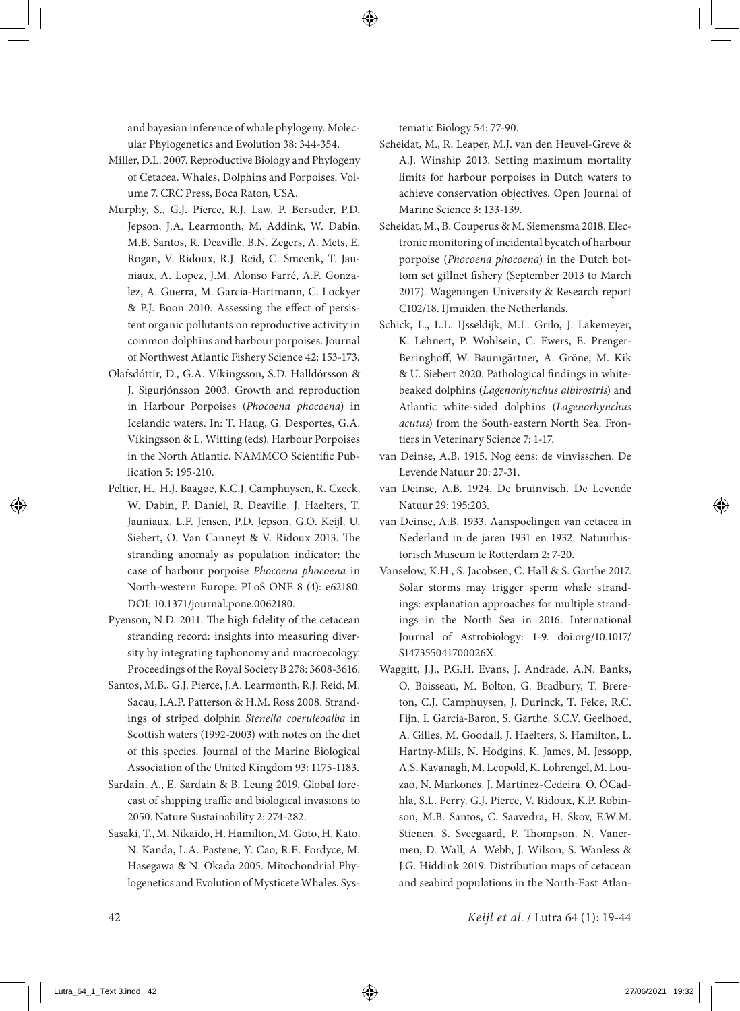and bayesian inference of whale phylogeny. Molecular Phylogenetics and Evolution 38: 344-354.

- Miller, D.L. 2007. Reproductive Biology and Phylogeny of Cetacea. Whales, Dolphins and Porpoises. Volume 7. CRC Press, Boca Raton, USA.
- Murphy, S., G.J. Pierce, R.J. Law, P. Bersuder, P.D. Jepson, J.A. Learmonth, M. Addink, W. Dabin, M.B. Santos, R. Deaville, B.N. Zegers, A. Mets, E. Rogan, V. Ridoux, R.J. Reid, C. Smeenk, T. Jauniaux, A. Lopez, J.M. Alonso Farré, A.F. Gonzalez, A. Guerra, M. Garcia-Hartmann, C. Lockyer & P.J. Boon 2010. Assessing the effect of persistent organic pollutants on reproductive activity in common dolphins and harbour porpoises. Journal of Northwest Atlantic Fishery Science 42: 153-173.
- Olafsdóttir, D., G.A. Víkingsson, S.D. Halldórsson & J. Sigurjónsson 2003. Growth and reproduction in Harbour Porpoises (*Phocoena phocoena*) in Icelandic waters. In: T. Haug, G. Desportes, G.A. Víkingsson & L. Witting (eds). Harbour Porpoises in the North Atlantic. NAMMCO Scientific Publication 5: 195-210.
- Peltier, H., H.J. Baagøe, K.C.J. Camphuysen, R. Czeck, W. Dabin, P. Daniel, R. Deaville, J. Haelters, T. Jauniaux, L.F. Jensen, P.D. Jepson, G.O. Keijl, U. Siebert, O. Van Canneyt & V. Ridoux 2013. The stranding anomaly as population indicator: the case of harbour porpoise *Phocoena phocoena* in North-western Europe. PLoS ONE 8 (4): e62180. DOI: 10.1371/journal.pone.0062180.
- Pyenson, N.D. 2011. The high fidelity of the cetacean stranding record: insights into measuring diversity by integrating taphonomy and macroecology. Proceedings of the Royal Society B 278: 3608-3616.
- Santos, M.B., G.J. Pierce, J.A. Learmonth, R.J. Reid, M. Sacau, I.A.P. Patterson & H.M. Ross 2008. Strandings of striped dolphin *Stenella coeruleoalba* in Scottish waters (1992-2003) with notes on the diet of this species. Journal of the Marine Biological Association of the United Kingdom 93: 1175-1183.
- Sardain, A., E. Sardain & B. Leung 2019. Global forecast of shipping traffic and biological invasions to 2050. Nature Sustainability 2: 274-282.
- Sasaki, T., M. Nikaido, H. Hamilton, M. Goto, H. Kato, N. Kanda, L.A. Pastene, Y. Cao, R.E. Fordyce, M. Hasegawa & N. Okada 2005. Mitochondrial Phylogenetics and Evolution of Mysticete Whales. Sys-

tematic Biology 54: 77-90.

- Scheidat, M., R. Leaper, M.J. van den Heuvel-Greve & A.J. Winship 2013. Setting maximum mortality limits for harbour porpoises in Dutch waters to achieve conservation objectives. Open Journal of Marine Science 3: 133-139.
- Scheidat, M., B. Couperus & M. Siemensma 2018. Electronic monitoring of incidental bycatch of harbour porpoise (*Phocoena phocoena*) in the Dutch bottom set gillnet fishery (September 2013 to March 2017). Wageningen University & Research report C102/18. IJmuiden, the Netherlands.
- Schick, L., L.L. IJsseldijk, M.L. Grilo, J. Lakemeyer, K. Lehnert, P. Wohlsein, C. Ewers, E. Prenger-Beringhoff, W. Baumgärtner, A. Gröne, M. Kik & U. Siebert 2020. Pathological findings in whitebeaked dolphins (*Lagenorhynchus albirostris*) and Atlantic white-sided dolphins (*Lagenorhynchus acutus*) from the South-eastern North Sea. Frontiers in Veterinary Science 7: 1-17.
- van Deinse, A.B. 1915. Nog eens: de vinvisschen. De Levende Natuur 20: 27-31.
- van Deinse, A.B. 1924. De bruinvisch. De Levende Natuur 29: 195:203.
- van Deinse, A.B. 1933. Aanspoelingen van cetacea in Nederland in de jaren 1931 en 1932. Natuurhistorisch Museum te Rotterdam 2: 7-20.
- Vanselow, K.H., S. Jacobsen, C. Hall & S. Garthe 2017. Solar storms may trigger sperm whale strandings: explanation approaches for multiple strandings in the North Sea in 2016. International Journal of Astrobiology: 1-9. doi.org/10.1017/ S147355041700026X.
- Waggitt, J.J., P.G.H. Evans, J. Andrade, A.N. Banks, O. Boisseau, M. Bolton, G. Bradbury, T. Brereton, C.J. Camphuysen, J. Durinck, T. Felce, R.C. Fijn, I. Garcia-Baron, S. Garthe, S.C.V. Geelhoed, A. Gilles, M. Goodall, J. Haelters, S. Hamilton, L. Hartny-Mills, N. Hodgins, K. James, M. Jessopp, A.S. Kavanagh, M. Leopold, K. Lohrengel, M. Louzao, N. Markones, J. Martínez-Cedeira, O. ÓCadhla, S.L. Perry, G.J. Pierce, V. Ridoux, K.P. Robinson, M.B. Santos, C. Saavedra, H. Skov, E.W.M. Stienen, S. Sveegaard, P. Thompson, N. Vanermen, D. Wall, A. Webb, J. Wilson, S. Wanless & J.G. Hiddink 2019. Distribution maps of cetacean and seabird populations in the North-East Atlan-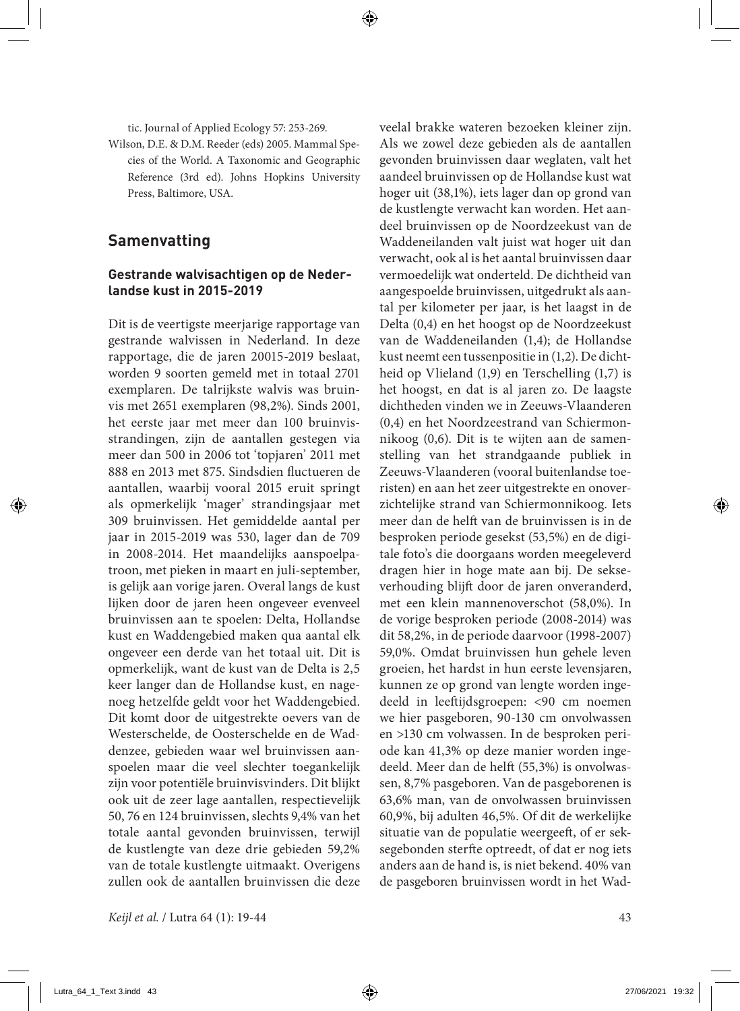tic. Journal of Applied Ecology 57: 253-269.

Wilson, D.E. & D.M. Reeder (eds) 2005. Mammal Species of the World. A Taxonomic and Geographic Reference (3rd ed). Johns Hopkins University Press, Baltimore, USA.

# **Samenvatting**

#### **Gestrande walvisachtigen op de Nederlandse kust in 2015-2019**

Dit is de veertigste meerjarige rapportage van gestrande walvissen in Nederland. In deze rapportage, die de jaren 20015-2019 beslaat, worden 9 soorten gemeld met in totaal 2701 exemplaren. De talrijkste walvis was bruinvis met 2651 exemplaren (98,2%). Sinds 2001, het eerste jaar met meer dan 100 bruinvisstrandingen, zijn de aantallen gestegen via meer dan 500 in 2006 tot 'topjaren' 2011 met 888 en 2013 met 875. Sindsdien fluctueren de aantallen, waarbij vooral 2015 eruit springt als opmerkelijk 'mager' strandingsjaar met 309 bruinvissen. Het gemiddelde aantal per jaar in 2015-2019 was 530, lager dan de 709 in 2008-2014. Het maandelijks aanspoelpatroon, met pieken in maart en juli-september, is gelijk aan vorige jaren. Overal langs de kust lijken door de jaren heen ongeveer evenveel bruinvissen aan te spoelen: Delta, Hollandse kust en Waddengebied maken qua aantal elk ongeveer een derde van het totaal uit. Dit is opmerkelijk, want de kust van de Delta is 2,5 keer langer dan de Hollandse kust, en nagenoeg hetzelfde geldt voor het Waddengebied. Dit komt door de uitgestrekte oevers van de Westerschelde, de Oosterschelde en de Waddenzee, gebieden waar wel bruinvissen aanspoelen maar die veel slechter toegankelijk zijn voor potentiële bruinvisvinders. Dit blijkt ook uit de zeer lage aantallen, respectievelijk 50, 76 en 124 bruinvissen, slechts 9,4% van het totale aantal gevonden bruinvissen, terwijl de kustlengte van deze drie gebieden 59,2% van de totale kustlengte uitmaakt. Overigens zullen ook de aantallen bruinvissen die deze

*Keijl et al.* / Lutra 64 (1): 19-44 43

veelal brakke wateren bezoeken kleiner zijn. Als we zowel deze gebieden als de aantallen gevonden bruinvissen daar weglaten, valt het aandeel bruinvissen op de Hollandse kust wat hoger uit (38,1%), iets lager dan op grond van de kustlengte verwacht kan worden. Het aandeel bruinvissen op de Noordzeekust van de Waddeneilanden valt juist wat hoger uit dan verwacht, ook al is het aantal bruinvissen daar vermoedelijk wat onderteld. De dichtheid van aangespoelde bruinvissen, uitgedrukt als aantal per kilometer per jaar, is het laagst in de Delta (0,4) en het hoogst op de Noordzeekust van de Waddeneilanden (1,4); de Hollandse kust neemt een tussenpositie in (1,2). De dichtheid op Vlieland (1,9) en Terschelling (1,7) is het hoogst, en dat is al jaren zo. De laagste dichtheden vinden we in Zeeuws-Vlaanderen (0,4) en het Noordzeestrand van Schiermonnikoog (0,6). Dit is te wijten aan de samenstelling van het strandgaande publiek in Zeeuws-Vlaanderen (vooral buitenlandse toeristen) en aan het zeer uitgestrekte en onoverzichtelijke strand van Schiermonnikoog. Iets meer dan de helft van de bruinvissen is in de besproken periode gesekst (53,5%) en de digitale foto's die doorgaans worden meegeleverd dragen hier in hoge mate aan bij. De sekseverhouding blijft door de jaren onveranderd, met een klein mannenoverschot (58,0%). In de vorige besproken periode (2008-2014) was dit 58,2%, in de periode daarvoor (1998-2007) 59,0%. Omdat bruinvissen hun gehele leven groeien, het hardst in hun eerste levensjaren, kunnen ze op grond van lengte worden ingedeeld in leeftijdsgroepen: <90 cm noemen we hier pasgeboren, 90-130 cm onvolwassen en >130 cm volwassen. In de besproken periode kan 41,3% op deze manier worden ingedeeld. Meer dan de helft (55,3%) is onvolwassen, 8,7% pasgeboren. Van de pasgeborenen is 63,6% man, van de onvolwassen bruinvissen 60,9%, bij adulten 46,5%. Of dit de werkelijke situatie van de populatie weergeeft, of er seksegebonden sterfte optreedt, of dat er nog iets anders aan de hand is, is niet bekend. 40% van de pasgeboren bruinvissen wordt in het Wad